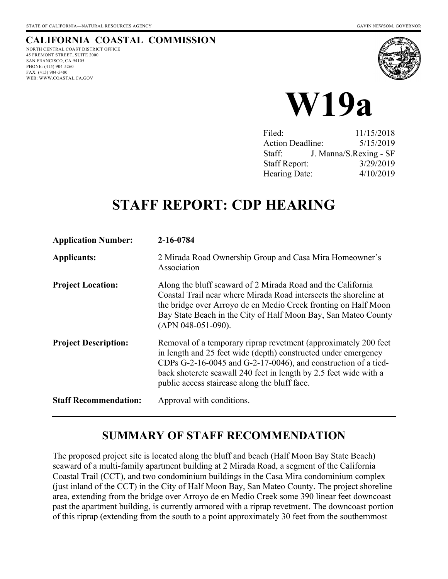# **CALIFORNIA COASTAL COMMISSION**

NORTH CENTRAL COAST DISTRICT OFFICE 45 FREMONT STREET, SUITE 2000 SAN FRANCISCO, CA 94105 PHONE: (415) 904-5260 FAX: (415) 904-5400 WEB: WWW.COASTAL.CA.GOV





| Filed:                  | 11/15/2018             |
|-------------------------|------------------------|
| <b>Action Deadline:</b> | 5/15/2019              |
| Staff:                  | J. Manna/S.Rexing - SF |
| <b>Staff Report:</b>    | 3/29/2019              |
| Hearing Date:           | 4/10/2019              |

# **STAFF REPORT: CDP HEARING**

| <b>Application Number:</b>   | 2-16-0784                                                                                                                                                                                                                                                                                                                       |
|------------------------------|---------------------------------------------------------------------------------------------------------------------------------------------------------------------------------------------------------------------------------------------------------------------------------------------------------------------------------|
| <b>Applicants:</b>           | 2 Mirada Road Ownership Group and Casa Mira Homeowner's<br>Association                                                                                                                                                                                                                                                          |
| <b>Project Location:</b>     | Along the bluff seaward of 2 Mirada Road and the California<br>Coastal Trail near where Mirada Road intersects the shoreline at<br>the bridge over Arroyo de en Medio Creek fronting on Half Moon<br>Bay State Beach in the City of Half Moon Bay, San Mateo County<br>(APN 048-051-090).                                       |
| <b>Project Description:</b>  | Removal of a temporary riprap revetment (approximately 200 feet)<br>in length and 25 feet wide (depth) constructed under emergency<br>CDPs $G-2-16-0045$ and $G-2-17-0046$ ), and construction of a tied-<br>back shotcrete seawall 240 feet in length by 2.5 feet wide with a<br>public access staircase along the bluff face. |
| <b>Staff Recommendation:</b> | Approval with conditions.                                                                                                                                                                                                                                                                                                       |

# **SUMMARY OF STAFF RECOMMENDATION**

The proposed project site is located along the bluff and beach (Half Moon Bay State Beach) seaward of a multi-family apartment building at 2 Mirada Road, a segment of the California Coastal Trail (CCT), and two condominium buildings in the Casa Mira condominium complex (just inland of the CCT) in the City of Half Moon Bay, San Mateo County. The project shoreline area, extending from the bridge over Arroyo de en Medio Creek some 390 linear feet downcoast past the apartment building, is currently armored with a riprap revetment. The downcoast portion of this riprap (extending from the south to a point approximately 30 feet from the southernmost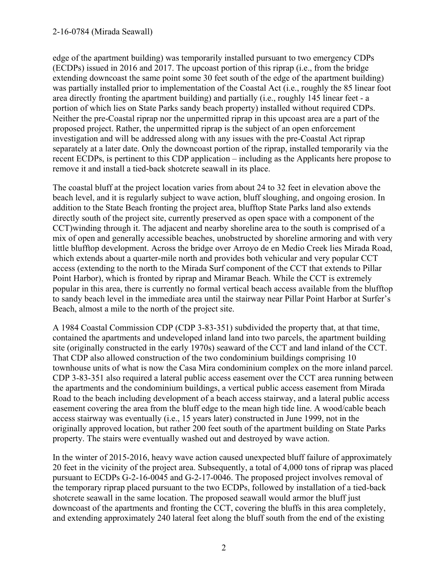#### 2-16-0784 (Mirada Seawall)

edge of the apartment building) was temporarily installed pursuant to two emergency CDPs (ECDPs) issued in 2016 and 2017. The upcoast portion of this riprap (i.e., from the bridge extending downcoast the same point some 30 feet south of the edge of the apartment building) was partially installed prior to implementation of the Coastal Act (i.e., roughly the 85 linear foot area directly fronting the apartment building) and partially (i.e., roughly 145 linear feet - a portion of which lies on State Parks sandy beach property) installed without required CDPs. Neither the pre-Coastal riprap nor the unpermitted riprap in this upcoast area are a part of the proposed project. Rather, the unpermitted riprap is the subject of an open enforcement investigation and will be addressed along with any issues with the pre-Coastal Act riprap separately at a later date. Only the downcoast portion of the riprap, installed temporarily via the recent ECDPs, is pertinent to this CDP application – including as the Applicants here propose to remove it and install a tied-back shotcrete seawall in its place.

The coastal bluff at the project location varies from about 24 to 32 feet in elevation above the beach level, and it is regularly subject to wave action, bluff sloughing, and ongoing erosion. In addition to the State Beach fronting the project area, blufftop State Parks land also extends directly south of the project site, currently preserved as open space with a component of the CCT)winding through it. The adjacent and nearby shoreline area to the south is comprised of a mix of open and generally accessible beaches, unobstructed by shoreline armoring and with very little blufftop development. Across the bridge over Arroyo de en Medio Creek lies Mirada Road, which extends about a quarter-mile north and provides both vehicular and very popular CCT access (extending to the north to the Mirada Surf component of the CCT that extends to Pillar Point Harbor), which is fronted by riprap and Miramar Beach. While the CCT is extremely popular in this area, there is currently no formal vertical beach access available from the blufftop to sandy beach level in the immediate area until the stairway near Pillar Point Harbor at Surfer's Beach, almost a mile to the north of the project site.

A 1984 Coastal Commission CDP (CDP 3-83-351) subdivided the property that, at that time, contained the apartments and undeveloped inland land into two parcels, the apartment building site (originally constructed in the early 1970s) seaward of the CCT and land inland of the CCT. That CDP also allowed construction of the two condominium buildings comprising 10 townhouse units of what is now the Casa Mira condominium complex on the more inland parcel. CDP 3-83-351 also required a lateral public access easement over the CCT area running between the apartments and the condominium buildings, a vertical public access easement from Mirada Road to the beach including development of a beach access stairway, and a lateral public access easement covering the area from the bluff edge to the mean high tide line. A wood/cable beach access stairway was eventually (i.e., 15 years later) constructed in June 1999, not in the originally approved location, but rather 200 feet south of the apartment building on State Parks property. The stairs were eventually washed out and destroyed by wave action.

In the winter of 2015-2016, heavy wave action caused unexpected bluff failure of approximately 20 feet in the vicinity of the project area. Subsequently, a total of 4,000 tons of riprap was placed pursuant to ECDPs G-2-16-0045 and G-2-17-0046. The proposed project involves removal of the temporary riprap placed pursuant to the two ECDPs, followed by installation of a tied-back shotcrete seawall in the same location. The proposed seawall would armor the bluff just downcoast of the apartments and fronting the CCT, covering the bluffs in this area completely, and extending approximately 240 lateral feet along the bluff south from the end of the existing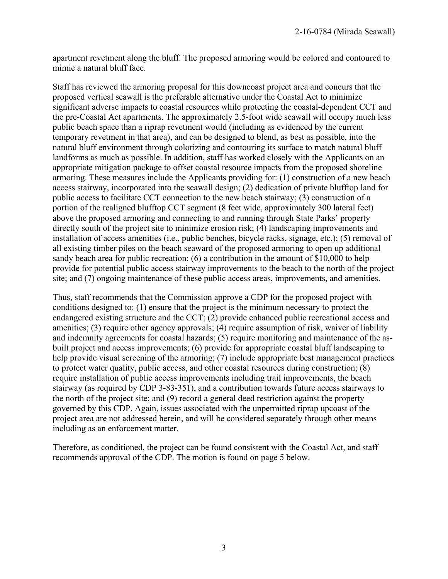apartment revetment along the bluff. The proposed armoring would be colored and contoured to mimic a natural bluff face.

Staff has reviewed the armoring proposal for this downcoast project area and concurs that the proposed vertical seawall is the preferable alternative under the Coastal Act to minimize significant adverse impacts to coastal resources while protecting the coastal-dependent CCT and the pre-Coastal Act apartments. The approximately 2.5-foot wide seawall will occupy much less public beach space than a riprap revetment would (including as evidenced by the current temporary revetment in that area), and can be designed to blend, as best as possible, into the natural bluff environment through colorizing and contouring its surface to match natural bluff landforms as much as possible. In addition, staff has worked closely with the Applicants on an appropriate mitigation package to offset coastal resource impacts from the proposed shoreline armoring. These measures include the Applicants providing for: (1) construction of a new beach access stairway, incorporated into the seawall design; (2) dedication of private blufftop land for public access to facilitate CCT connection to the new beach stairway; (3) construction of a portion of the realigned blufftop CCT segment (8 feet wide, approximately 300 lateral feet) above the proposed armoring and connecting to and running through State Parks' property directly south of the project site to minimize erosion risk; (4) landscaping improvements and installation of access amenities (i.e., public benches, bicycle racks, signage, etc.); (5) removal of all existing timber piles on the beach seaward of the proposed armoring to open up additional sandy beach area for public recreation; (6) a contribution in the amount of \$10,000 to help provide for potential public access stairway improvements to the beach to the north of the project site; and (7) ongoing maintenance of these public access areas, improvements, and amenities.

Thus, staff recommends that the Commission approve a CDP for the proposed project with conditions designed to: (1) ensure that the project is the minimum necessary to protect the endangered existing structure and the CCT; (2) provide enhanced public recreational access and amenities; (3) require other agency approvals; (4) require assumption of risk, waiver of liability and indemnity agreements for coastal hazards; (5) require monitoring and maintenance of the asbuilt project and access improvements; (6) provide for appropriate coastal bluff landscaping to help provide visual screening of the armoring; (7) include appropriate best management practices to protect water quality, public access, and other coastal resources during construction; (8) require installation of public access improvements including trail improvements, the beach stairway (as required by CDP 3-83-351), and a contribution towards future access stairways to the north of the project site; and (9) record a general deed restriction against the property governed by this CDP. Again, issues associated with the unpermitted riprap upcoast of the project area are not addressed herein, and will be considered separately through other means including as an enforcement matter.

Therefore, as conditioned, the project can be found consistent with the Coastal Act, and staff recommends approval of the CDP. The motion is found on page 5 below.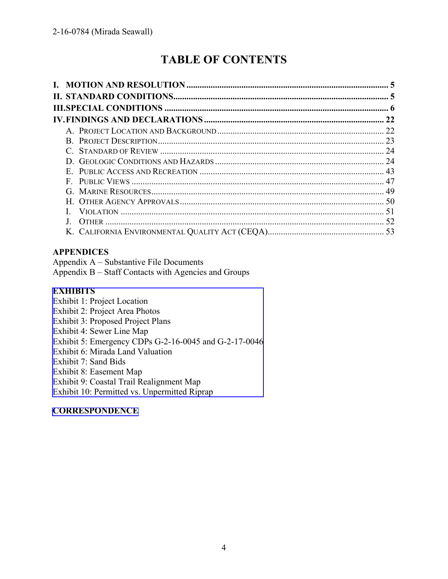# **TABLE OF CONTENTS**

### **APPENDICES**

Appendix A – Substantive File Documents Appendix B – Staff Contacts with Agencies and Groups

#### **EXHIBITS**

Exhibit 1: Project Location Exhibit 2: Project Area Photos Exhibit 3: Proposed Project Plans Exhibit 4: Sewer Line Map Exhibit 5: Emergency CDPs G-2-16-0045 and G-2-17-0046 Exhibit 6: Mirada Land Valuation Exhibit 7: Sand Bids Exhibit 8: Easement Map Exhibit 9: Coastal Trail Realignment Map [Exhibit 10: Permitted vs. Unpermitted Riprap](https://documents.coastal.ca.gov/reports/2019/4/W19a/W19a-4-2019-exhibits.pdf)

### **[CORRESPONDENCE](https://documents.coastal.ca.gov/reports/2019/4/W19a/W19a-4-2019-corresp.pdf)**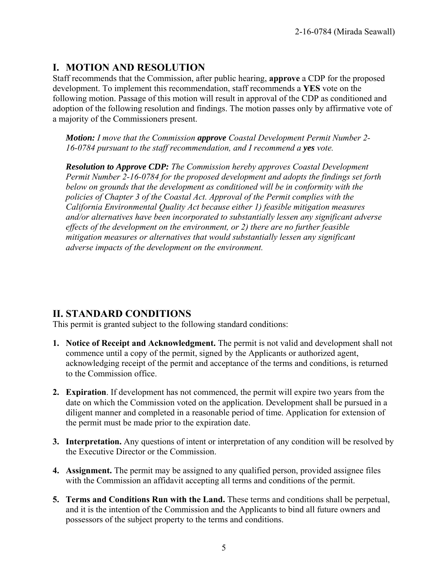# **I. MOTION AND RESOLUTION**

Staff recommends that the Commission, after public hearing, **approve** a CDP for the proposed development. To implement this recommendation, staff recommends a **YES** vote on the following motion. Passage of this motion will result in approval of the CDP as conditioned and adoption of the following resolution and findings. The motion passes only by affirmative vote of a majority of the Commissioners present.

*Motion: I move that the Commission approve Coastal Development Permit Number 2- 16-0784 pursuant to the staff recommendation, and I recommend a yes vote.* 

*Resolution to Approve CDP: The Commission hereby approves Coastal Development Permit Number 2-16-0784 for the proposed development and adopts the findings set forth below on grounds that the development as conditioned will be in conformity with the policies of Chapter 3 of the Coastal Act. Approval of the Permit complies with the California Environmental Quality Act because either 1) feasible mitigation measures and/or alternatives have been incorporated to substantially lessen any significant adverse effects of the development on the environment, or 2) there are no further feasible mitigation measures or alternatives that would substantially lessen any significant adverse impacts of the development on the environment.* 

# **II. STANDARD CONDITIONS**

This permit is granted subject to the following standard conditions:

- **1. Notice of Receipt and Acknowledgment.** The permit is not valid and development shall not commence until a copy of the permit, signed by the Applicants or authorized agent, acknowledging receipt of the permit and acceptance of the terms and conditions, is returned to the Commission office.
- **2. Expiration**. If development has not commenced, the permit will expire two years from the date on which the Commission voted on the application. Development shall be pursued in a diligent manner and completed in a reasonable period of time. Application for extension of the permit must be made prior to the expiration date.
- **3.** Interpretation. Any questions of intent or interpretation of any condition will be resolved by the Executive Director or the Commission.
- **4. Assignment.** The permit may be assigned to any qualified person, provided assignee files with the Commission an affidavit accepting all terms and conditions of the permit.
- **5. Terms and Conditions Run with the Land.** These terms and conditions shall be perpetual, and it is the intention of the Commission and the Applicants to bind all future owners and possessors of the subject property to the terms and conditions.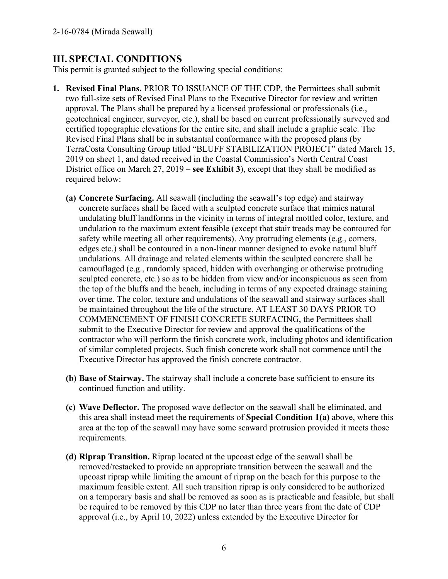# **III. SPECIAL CONDITIONS**

This permit is granted subject to the following special conditions:

- **1. Revised Final Plans.** PRIOR TO ISSUANCE OF THE CDP, the Permittees shall submit two full-size sets of Revised Final Plans to the Executive Director for review and written approval. The Plans shall be prepared by a licensed professional or professionals (i.e., geotechnical engineer, surveyor, etc.), shall be based on current professionally surveyed and certified topographic elevations for the entire site, and shall include a graphic scale. The Revised Final Plans shall be in substantial conformance with the proposed plans (by TerraCosta Consulting Group titled "BLUFF STABILIZATION PROJECT" dated March 15, 2019 on sheet 1, and dated received in the Coastal Commission's North Central Coast District office on March 27, 2019 – **see Exhibit 3**), except that they shall be modified as required below:
	- **(a) Concrete Surfacing.** All seawall (including the seawall's top edge) and stairway concrete surfaces shall be faced with a sculpted concrete surface that mimics natural undulating bluff landforms in the vicinity in terms of integral mottled color, texture, and undulation to the maximum extent feasible (except that stair treads may be contoured for safety while meeting all other requirements). Any protruding elements (e.g., corners, edges etc.) shall be contoured in a non-linear manner designed to evoke natural bluff undulations. All drainage and related elements within the sculpted concrete shall be camouflaged (e.g., randomly spaced, hidden with overhanging or otherwise protruding sculpted concrete, etc.) so as to be hidden from view and/or inconspicuous as seen from the top of the bluffs and the beach, including in terms of any expected drainage staining over time. The color, texture and undulations of the seawall and stairway surfaces shall be maintained throughout the life of the structure. AT LEAST 30 DAYS PRIOR TO COMMENCEMENT OF FINISH CONCRETE SURFACING, the Permittees shall submit to the Executive Director for review and approval the qualifications of the contractor who will perform the finish concrete work, including photos and identification of similar completed projects. Such finish concrete work shall not commence until the Executive Director has approved the finish concrete contractor.
	- **(b) Base of Stairway.** The stairway shall include a concrete base sufficient to ensure its continued function and utility.
	- **(c) Wave Deflector.** The proposed wave deflector on the seawall shall be eliminated, and this area shall instead meet the requirements of **Special Condition 1(a)** above, where this area at the top of the seawall may have some seaward protrusion provided it meets those requirements.
	- **(d) Riprap Transition.** Riprap located at the upcoast edge of the seawall shall be removed/restacked to provide an appropriate transition between the seawall and the upcoast riprap while limiting the amount of riprap on the beach for this purpose to the maximum feasible extent. All such transition riprap is only considered to be authorized on a temporary basis and shall be removed as soon as is practicable and feasible, but shall be required to be removed by this CDP no later than three years from the date of CDP approval (i.e., by April 10, 2022) unless extended by the Executive Director for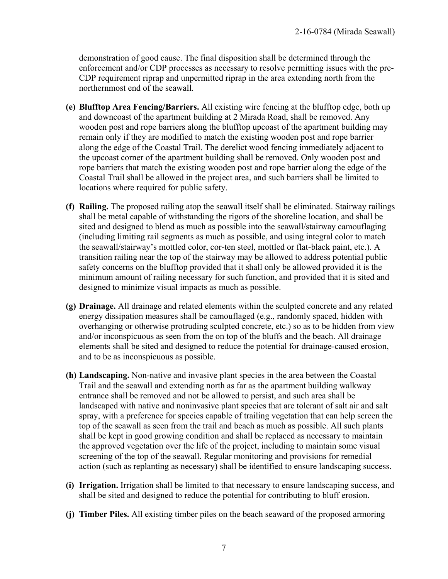demonstration of good cause. The final disposition shall be determined through the enforcement and/or CDP processes as necessary to resolve permitting issues with the pre-CDP requirement riprap and unpermitted riprap in the area extending north from the northernmost end of the seawall.

- **(e) Blufftop Area Fencing/Barriers.** All existing wire fencing at the blufftop edge, both up and downcoast of the apartment building at 2 Mirada Road, shall be removed. Any wooden post and rope barriers along the blufftop upcoast of the apartment building may remain only if they are modified to match the existing wooden post and rope barrier along the edge of the Coastal Trail. The derelict wood fencing immediately adjacent to the upcoast corner of the apartment building shall be removed. Only wooden post and rope barriers that match the existing wooden post and rope barrier along the edge of the Coastal Trail shall be allowed in the project area, and such barriers shall be limited to locations where required for public safety.
- **(f) Railing.** The proposed railing atop the seawall itself shall be eliminated. Stairway railings shall be metal capable of withstanding the rigors of the shoreline location, and shall be sited and designed to blend as much as possible into the seawall/stairway camouflaging (including limiting rail segments as much as possible, and using integral color to match the seawall/stairway's mottled color, cor-ten steel, mottled or flat-black paint, etc.). A transition railing near the top of the stairway may be allowed to address potential public safety concerns on the blufftop provided that it shall only be allowed provided it is the minimum amount of railing necessary for such function, and provided that it is sited and designed to minimize visual impacts as much as possible.
- **(g) Drainage.** All drainage and related elements within the sculpted concrete and any related energy dissipation measures shall be camouflaged (e.g., randomly spaced, hidden with overhanging or otherwise protruding sculpted concrete, etc.) so as to be hidden from view and/or inconspicuous as seen from the on top of the bluffs and the beach. All drainage elements shall be sited and designed to reduce the potential for drainage-caused erosion, and to be as inconspicuous as possible.
- **(h) Landscaping.** Non-native and invasive plant species in the area between the Coastal Trail and the seawall and extending north as far as the apartment building walkway entrance shall be removed and not be allowed to persist, and such area shall be landscaped with native and noninvasive plant species that are tolerant of salt air and salt spray, with a preference for species capable of trailing vegetation that can help screen the top of the seawall as seen from the trail and beach as much as possible. All such plants shall be kept in good growing condition and shall be replaced as necessary to maintain the approved vegetation over the life of the project, including to maintain some visual screening of the top of the seawall. Regular monitoring and provisions for remedial action (such as replanting as necessary) shall be identified to ensure landscaping success.
- **(i) Irrigation.** Irrigation shall be limited to that necessary to ensure landscaping success, and shall be sited and designed to reduce the potential for contributing to bluff erosion.
- **(j) Timber Piles.** All existing timber piles on the beach seaward of the proposed armoring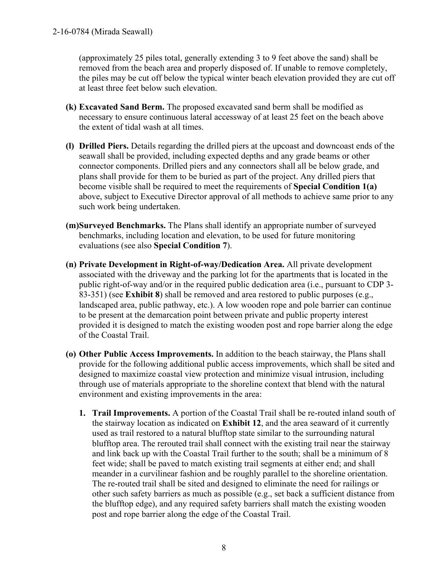(approximately 25 piles total, generally extending 3 to 9 feet above the sand) shall be removed from the beach area and properly disposed of. If unable to remove completely, the piles may be cut off below the typical winter beach elevation provided they are cut off at least three feet below such elevation.

- **(k) Excavated Sand Berm.** The proposed excavated sand berm shall be modified as necessary to ensure continuous lateral accessway of at least 25 feet on the beach above the extent of tidal wash at all times.
- **(l) Drilled Piers.** Details regarding the drilled piers at the upcoast and downcoast ends of the seawall shall be provided, including expected depths and any grade beams or other connector components. Drilled piers and any connectors shall all be below grade, and plans shall provide for them to be buried as part of the project. Any drilled piers that become visible shall be required to meet the requirements of **Special Condition 1(a)** above, subject to Executive Director approval of all methods to achieve same prior to any such work being undertaken.
- **(m)Surveyed Benchmarks.** The Plans shall identify an appropriate number of surveyed benchmarks, including location and elevation, to be used for future monitoring evaluations (see also **Special Condition 7**).
- **(n) Private Development in Right-of-way/Dedication Area.** All private development associated with the driveway and the parking lot for the apartments that is located in the public right-of-way and/or in the required public dedication area (i.e., pursuant to CDP 3- 83-351) (see **Exhibit 8**) shall be removed and area restored to public purposes (e.g., landscaped area, public pathway, etc.). A low wooden rope and pole barrier can continue to be present at the demarcation point between private and public property interest provided it is designed to match the existing wooden post and rope barrier along the edge of the Coastal Trail.
- **(o) Other Public Access Improvements.** In addition to the beach stairway, the Plans shall provide for the following additional public access improvements, which shall be sited and designed to maximize coastal view protection and minimize visual intrusion, including through use of materials appropriate to the shoreline context that blend with the natural environment and existing improvements in the area:
	- **1. Trail Improvements.** A portion of the Coastal Trail shall be re-routed inland south of the stairway location as indicated on **Exhibit 12**, and the area seaward of it currently used as trail restored to a natural blufftop state similar to the surrounding natural blufftop area. The rerouted trail shall connect with the existing trail near the stairway and link back up with the Coastal Trail further to the south; shall be a minimum of 8 feet wide; shall be paved to match existing trail segments at either end; and shall meander in a curvilinear fashion and be roughly parallel to the shoreline orientation. The re-routed trail shall be sited and designed to eliminate the need for railings or other such safety barriers as much as possible (e.g., set back a sufficient distance from the blufftop edge), and any required safety barriers shall match the existing wooden post and rope barrier along the edge of the Coastal Trail.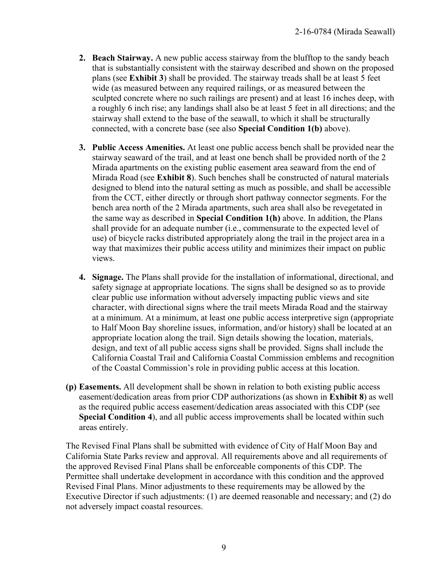- **2. Beach Stairway.** A new public access stairway from the blufftop to the sandy beach that is substantially consistent with the stairway described and shown on the proposed plans (see **Exhibit 3**) shall be provided. The stairway treads shall be at least 5 feet wide (as measured between any required railings, or as measured between the sculpted concrete where no such railings are present) and at least 16 inches deep, with a roughly 6 inch rise; any landings shall also be at least 5 feet in all directions; and the stairway shall extend to the base of the seawall, to which it shall be structurally connected, with a concrete base (see also **Special Condition 1(b)** above).
- **3. Public Access Amenities.** At least one public access bench shall be provided near the stairway seaward of the trail, and at least one bench shall be provided north of the 2 Mirada apartments on the existing public easement area seaward from the end of Mirada Road (see **Exhibit 8**). Such benches shall be constructed of natural materials designed to blend into the natural setting as much as possible, and shall be accessible from the CCT, either directly or through short pathway connector segments. For the bench area north of the 2 Mirada apartments, such area shall also be revegetated in the same way as described in **Special Condition 1(h)** above. In addition, the Plans shall provide for an adequate number (i.e., commensurate to the expected level of use) of bicycle racks distributed appropriately along the trail in the project area in a way that maximizes their public access utility and minimizes their impact on public views.
- **4. Signage.** The Plans shall provide for the installation of informational, directional, and safety signage at appropriate locations. The signs shall be designed so as to provide clear public use information without adversely impacting public views and site character, with directional signs where the trail meets Mirada Road and the stairway at a minimum. At a minimum, at least one public access interpretive sign (appropriate to Half Moon Bay shoreline issues, information, and/or history) shall be located at an appropriate location along the trail. Sign details showing the location, materials, design, and text of all public access signs shall be provided. Signs shall include the California Coastal Trail and California Coastal Commission emblems and recognition of the Coastal Commission's role in providing public access at this location.
- **(p) Easements.** All development shall be shown in relation to both existing public access easement/dedication areas from prior CDP authorizations (as shown in **Exhibit 8**) as well as the required public access easement/dedication areas associated with this CDP (see **Special Condition 4**), and all public access improvements shall be located within such areas entirely.

The Revised Final Plans shall be submitted with evidence of City of Half Moon Bay and California State Parks review and approval. All requirements above and all requirements of the approved Revised Final Plans shall be enforceable components of this CDP. The Permittee shall undertake development in accordance with this condition and the approved Revised Final Plans. Minor adjustments to these requirements may be allowed by the Executive Director if such adjustments: (1) are deemed reasonable and necessary; and (2) do not adversely impact coastal resources.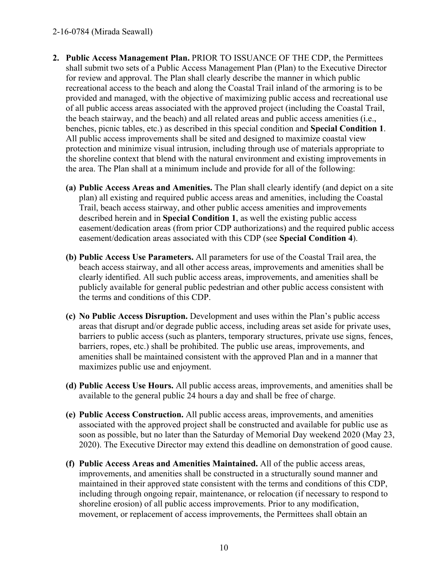#### 2-16-0784 (Mirada Seawall)

- **2. Public Access Management Plan.** PRIOR TO ISSUANCE OF THE CDP, the Permittees shall submit two sets of a Public Access Management Plan (Plan) to the Executive Director for review and approval. The Plan shall clearly describe the manner in which public recreational access to the beach and along the Coastal Trail inland of the armoring is to be provided and managed, with the objective of maximizing public access and recreational use of all public access areas associated with the approved project (including the Coastal Trail, the beach stairway, and the beach) and all related areas and public access amenities (i.e., benches, picnic tables, etc.) as described in this special condition and **Special Condition 1**. All public access improvements shall be sited and designed to maximize coastal view protection and minimize visual intrusion, including through use of materials appropriate to the shoreline context that blend with the natural environment and existing improvements in the area. The Plan shall at a minimum include and provide for all of the following:
	- **(a) Public Access Areas and Amenities.** The Plan shall clearly identify (and depict on a site plan) all existing and required public access areas and amenities, including the Coastal Trail, beach access stairway, and other public access amenities and improvements described herein and in **Special Condition 1**, as well the existing public access easement/dedication areas (from prior CDP authorizations) and the required public access easement/dedication areas associated with this CDP (see **Special Condition 4**).
	- **(b) Public Access Use Parameters.** All parameters for use of the Coastal Trail area, the beach access stairway, and all other access areas, improvements and amenities shall be clearly identified. All such public access areas, improvements, and amenities shall be publicly available for general public pedestrian and other public access consistent with the terms and conditions of this CDP.
	- **(c) No Public Access Disruption.** Development and uses within the Plan's public access areas that disrupt and/or degrade public access, including areas set aside for private uses, barriers to public access (such as planters, temporary structures, private use signs, fences, barriers, ropes, etc.) shall be prohibited. The public use areas, improvements, and amenities shall be maintained consistent with the approved Plan and in a manner that maximizes public use and enjoyment.
	- **(d) Public Access Use Hours.** All public access areas, improvements, and amenities shall be available to the general public 24 hours a day and shall be free of charge.
	- **(e) Public Access Construction.** All public access areas, improvements, and amenities associated with the approved project shall be constructed and available for public use as soon as possible, but no later than the Saturday of Memorial Day weekend 2020 (May 23, 2020). The Executive Director may extend this deadline on demonstration of good cause.
	- **(f) Public Access Areas and Amenities Maintained.** All of the public access areas, improvements, and amenities shall be constructed in a structurally sound manner and maintained in their approved state consistent with the terms and conditions of this CDP, including through ongoing repair, maintenance, or relocation (if necessary to respond to shoreline erosion) of all public access improvements. Prior to any modification, movement, or replacement of access improvements, the Permittees shall obtain an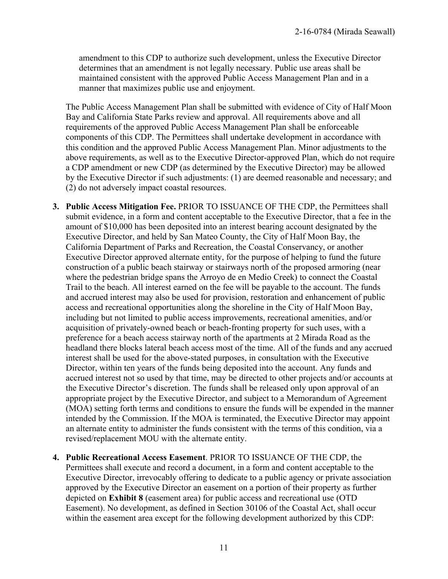amendment to this CDP to authorize such development, unless the Executive Director determines that an amendment is not legally necessary. Public use areas shall be maintained consistent with the approved Public Access Management Plan and in a manner that maximizes public use and enjoyment.

The Public Access Management Plan shall be submitted with evidence of City of Half Moon Bay and California State Parks review and approval. All requirements above and all requirements of the approved Public Access Management Plan shall be enforceable components of this CDP. The Permittees shall undertake development in accordance with this condition and the approved Public Access Management Plan. Minor adjustments to the above requirements, as well as to the Executive Director-approved Plan, which do not require a CDP amendment or new CDP (as determined by the Executive Director) may be allowed by the Executive Director if such adjustments: (1) are deemed reasonable and necessary; and (2) do not adversely impact coastal resources.

- **3. Public Access Mitigation Fee.** PRIOR TO ISSUANCE OF THE CDP, the Permittees shall submit evidence, in a form and content acceptable to the Executive Director, that a fee in the amount of \$10,000 has been deposited into an interest bearing account designated by the Executive Director, and held by San Mateo County, the City of Half Moon Bay, the California Department of Parks and Recreation, the Coastal Conservancy, or another Executive Director approved alternate entity, for the purpose of helping to fund the future construction of a public beach stairway or stairways north of the proposed armoring (near where the pedestrian bridge spans the Arroyo de en Medio Creek) to connect the Coastal Trail to the beach. All interest earned on the fee will be payable to the account. The funds and accrued interest may also be used for provision, restoration and enhancement of public access and recreational opportunities along the shoreline in the City of Half Moon Bay, including but not limited to public access improvements, recreational amenities, and/or acquisition of privately-owned beach or beach-fronting property for such uses, with a preference for a beach access stairway north of the apartments at 2 Mirada Road as the headland there blocks lateral beach access most of the time. All of the funds and any accrued interest shall be used for the above-stated purposes, in consultation with the Executive Director, within ten years of the funds being deposited into the account. Any funds and accrued interest not so used by that time, may be directed to other projects and/or accounts at the Executive Director's discretion. The funds shall be released only upon approval of an appropriate project by the Executive Director, and subject to a Memorandum of Agreement (MOA) setting forth terms and conditions to ensure the funds will be expended in the manner intended by the Commission. If the MOA is terminated, the Executive Director may appoint an alternate entity to administer the funds consistent with the terms of this condition, via a revised/replacement MOU with the alternate entity.
- **4. Public Recreational Access Easement**. PRIOR TO ISSUANCE OF THE CDP, the Permittees shall execute and record a document, in a form and content acceptable to the Executive Director, irrevocably offering to dedicate to a public agency or private association approved by the Executive Director an easement on a portion of their property as further depicted on **Exhibit 8** (easement area) for public access and recreational use (OTD Easement). No development, as defined in Section 30106 of the Coastal Act, shall occur within the easement area except for the following development authorized by this CDP: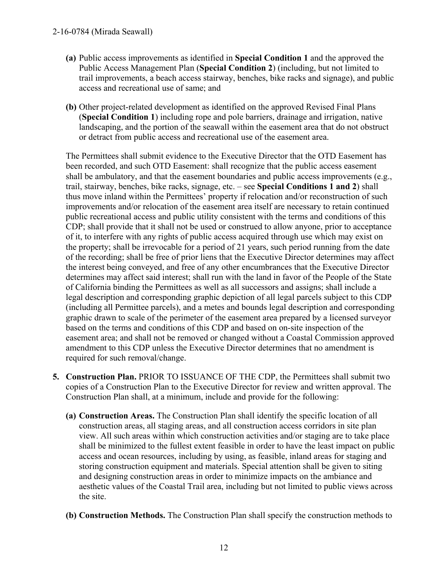#### 2-16-0784 (Mirada Seawall)

- **(a)** Public access improvements as identified in **Special Condition 1** and the approved the Public Access Management Plan (**Special Condition 2**) (including, but not limited to trail improvements, a beach access stairway, benches, bike racks and signage), and public access and recreational use of same; and
- **(b)** Other project-related development as identified on the approved Revised Final Plans (**Special Condition 1**) including rope and pole barriers, drainage and irrigation, native landscaping, and the portion of the seawall within the easement area that do not obstruct or detract from public access and recreational use of the easement area.

The Permittees shall submit evidence to the Executive Director that the OTD Easement has been recorded, and such OTD Easement: shall recognize that the public access easement shall be ambulatory, and that the easement boundaries and public access improvements (e.g., trail, stairway, benches, bike racks, signage, etc. – see **Special Conditions 1 and 2**) shall thus move inland within the Permittees' property if relocation and/or reconstruction of such improvements and/or relocation of the easement area itself are necessary to retain continued public recreational access and public utility consistent with the terms and conditions of this CDP; shall provide that it shall not be used or construed to allow anyone, prior to acceptance of it, to interfere with any rights of public access acquired through use which may exist on the property; shall be irrevocable for a period of 21 years, such period running from the date of the recording; shall be free of prior liens that the Executive Director determines may affect the interest being conveyed, and free of any other encumbrances that the Executive Director determines may affect said interest; shall run with the land in favor of the People of the State of California binding the Permittees as well as all successors and assigns; shall include a legal description and corresponding graphic depiction of all legal parcels subject to this CDP (including all Permittee parcels), and a metes and bounds legal description and corresponding graphic drawn to scale of the perimeter of the easement area prepared by a licensed surveyor based on the terms and conditions of this CDP and based on on-site inspection of the easement area; and shall not be removed or changed without a Coastal Commission approved amendment to this CDP unless the Executive Director determines that no amendment is required for such removal/change.

- **5. Construction Plan.** PRIOR TO ISSUANCE OF THE CDP, the Permittees shall submit two copies of a Construction Plan to the Executive Director for review and written approval. The Construction Plan shall, at a minimum, include and provide for the following:
	- **(a) Construction Areas.** The Construction Plan shall identify the specific location of all construction areas, all staging areas, and all construction access corridors in site plan view. All such areas within which construction activities and/or staging are to take place shall be minimized to the fullest extent feasible in order to have the least impact on public access and ocean resources, including by using, as feasible, inland areas for staging and storing construction equipment and materials. Special attention shall be given to siting and designing construction areas in order to minimize impacts on the ambiance and aesthetic values of the Coastal Trail area, including but not limited to public views across the site.
	- **(b) Construction Methods.** The Construction Plan shall specify the construction methods to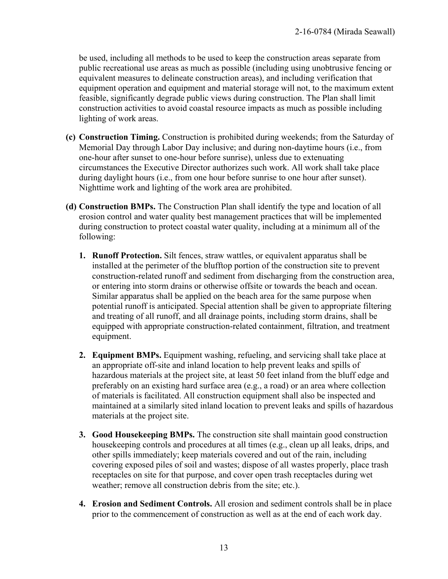be used, including all methods to be used to keep the construction areas separate from public recreational use areas as much as possible (including using unobtrusive fencing or equivalent measures to delineate construction areas), and including verification that equipment operation and equipment and material storage will not, to the maximum extent feasible, significantly degrade public views during construction. The Plan shall limit construction activities to avoid coastal resource impacts as much as possible including lighting of work areas.

- **(c) Construction Timing.** Construction is prohibited during weekends; from the Saturday of Memorial Day through Labor Day inclusive; and during non-daytime hours (i.e., from one-hour after sunset to one-hour before sunrise), unless due to extenuating circumstances the Executive Director authorizes such work. All work shall take place during daylight hours (i.e., from one hour before sunrise to one hour after sunset). Nighttime work and lighting of the work area are prohibited.
- **(d) Construction BMPs.** The Construction Plan shall identify the type and location of all erosion control and water quality best management practices that will be implemented during construction to protect coastal water quality, including at a minimum all of the following:
	- **1. Runoff Protection.** Silt fences, straw wattles, or equivalent apparatus shall be installed at the perimeter of the blufftop portion of the construction site to prevent construction-related runoff and sediment from discharging from the construction area, or entering into storm drains or otherwise offsite or towards the beach and ocean. Similar apparatus shall be applied on the beach area for the same purpose when potential runoff is anticipated. Special attention shall be given to appropriate filtering and treating of all runoff, and all drainage points, including storm drains, shall be equipped with appropriate construction-related containment, filtration, and treatment equipment.
	- **2. Equipment BMPs.** Equipment washing, refueling, and servicing shall take place at an appropriate off-site and inland location to help prevent leaks and spills of hazardous materials at the project site, at least 50 feet inland from the bluff edge and preferably on an existing hard surface area (e.g., a road) or an area where collection of materials is facilitated. All construction equipment shall also be inspected and maintained at a similarly sited inland location to prevent leaks and spills of hazardous materials at the project site.
	- **3. Good Housekeeping BMPs.** The construction site shall maintain good construction housekeeping controls and procedures at all times (e.g., clean up all leaks, drips, and other spills immediately; keep materials covered and out of the rain, including covering exposed piles of soil and wastes; dispose of all wastes properly, place trash receptacles on site for that purpose, and cover open trash receptacles during wet weather; remove all construction debris from the site; etc.).
	- **4. Erosion and Sediment Controls.** All erosion and sediment controls shall be in place prior to the commencement of construction as well as at the end of each work day.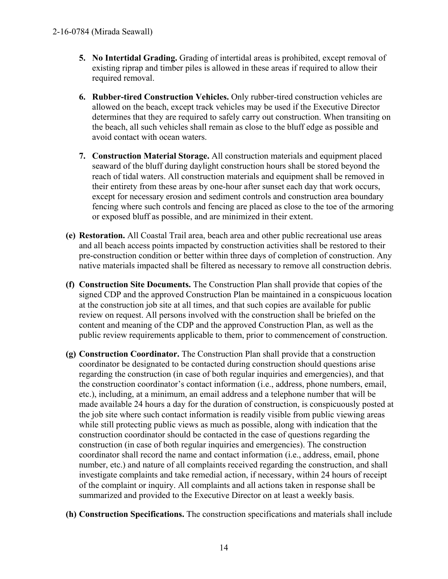- **5. No Intertidal Grading.** Grading of intertidal areas is prohibited, except removal of existing riprap and timber piles is allowed in these areas if required to allow their required removal.
- **6. Rubber-tired Construction Vehicles.** Only rubber-tired construction vehicles are allowed on the beach, except track vehicles may be used if the Executive Director determines that they are required to safely carry out construction. When transiting on the beach, all such vehicles shall remain as close to the bluff edge as possible and avoid contact with ocean waters.
- **7. Construction Material Storage.** All construction materials and equipment placed seaward of the bluff during daylight construction hours shall be stored beyond the reach of tidal waters. All construction materials and equipment shall be removed in their entirety from these areas by one-hour after sunset each day that work occurs, except for necessary erosion and sediment controls and construction area boundary fencing where such controls and fencing are placed as close to the toe of the armoring or exposed bluff as possible, and are minimized in their extent.
- **(e) Restoration.** All Coastal Trail area, beach area and other public recreational use areas and all beach access points impacted by construction activities shall be restored to their pre-construction condition or better within three days of completion of construction. Any native materials impacted shall be filtered as necessary to remove all construction debris.
- **(f) Construction Site Documents.** The Construction Plan shall provide that copies of the signed CDP and the approved Construction Plan be maintained in a conspicuous location at the construction job site at all times, and that such copies are available for public review on request. All persons involved with the construction shall be briefed on the content and meaning of the CDP and the approved Construction Plan, as well as the public review requirements applicable to them, prior to commencement of construction.
- **(g) Construction Coordinator.** The Construction Plan shall provide that a construction coordinator be designated to be contacted during construction should questions arise regarding the construction (in case of both regular inquiries and emergencies), and that the construction coordinator's contact information (i.e., address, phone numbers, email, etc.), including, at a minimum, an email address and a telephone number that will be made available 24 hours a day for the duration of construction, is conspicuously posted at the job site where such contact information is readily visible from public viewing areas while still protecting public views as much as possible, along with indication that the construction coordinator should be contacted in the case of questions regarding the construction (in case of both regular inquiries and emergencies). The construction coordinator shall record the name and contact information (i.e., address, email, phone number, etc.) and nature of all complaints received regarding the construction, and shall investigate complaints and take remedial action, if necessary, within 24 hours of receipt of the complaint or inquiry. All complaints and all actions taken in response shall be summarized and provided to the Executive Director on at least a weekly basis.
- **(h) Construction Specifications.** The construction specifications and materials shall include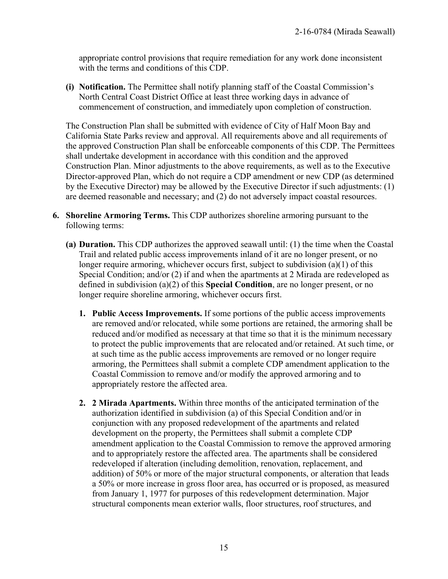appropriate control provisions that require remediation for any work done inconsistent with the terms and conditions of this CDP.

**(i) Notification.** The Permittee shall notify planning staff of the Coastal Commission's North Central Coast District Office at least three working days in advance of commencement of construction, and immediately upon completion of construction.

The Construction Plan shall be submitted with evidence of City of Half Moon Bay and California State Parks review and approval. All requirements above and all requirements of the approved Construction Plan shall be enforceable components of this CDP. The Permittees shall undertake development in accordance with this condition and the approved Construction Plan. Minor adjustments to the above requirements, as well as to the Executive Director-approved Plan, which do not require a CDP amendment or new CDP (as determined by the Executive Director) may be allowed by the Executive Director if such adjustments: (1) are deemed reasonable and necessary; and (2) do not adversely impact coastal resources.

- **6. Shoreline Armoring Terms.** This CDP authorizes shoreline armoring pursuant to the following terms:
	- **(a) Duration.** This CDP authorizes the approved seawall until: (1) the time when the Coastal Trail and related public access improvements inland of it are no longer present, or no longer require armoring, whichever occurs first, subject to subdivision (a)(1) of this Special Condition; and/or (2) if and when the apartments at 2 Mirada are redeveloped as defined in subdivision (a)(2) of this **Special Condition**, are no longer present, or no longer require shoreline armoring, whichever occurs first.
		- **1. Public Access Improvements.** If some portions of the public access improvements are removed and/or relocated, while some portions are retained, the armoring shall be reduced and/or modified as necessary at that time so that it is the minimum necessary to protect the public improvements that are relocated and/or retained. At such time, or at such time as the public access improvements are removed or no longer require armoring, the Permittees shall submit a complete CDP amendment application to the Coastal Commission to remove and/or modify the approved armoring and to appropriately restore the affected area.
		- **2. 2 Mirada Apartments.** Within three months of the anticipated termination of the authorization identified in subdivision (a) of this Special Condition and/or in conjunction with any proposed redevelopment of the apartments and related development on the property, the Permittees shall submit a complete CDP amendment application to the Coastal Commission to remove the approved armoring and to appropriately restore the affected area. The apartments shall be considered redeveloped if alteration (including demolition, renovation, replacement, and addition) of 50% or more of the major structural components, or alteration that leads a 50% or more increase in gross floor area, has occurred or is proposed, as measured from January 1, 1977 for purposes of this redevelopment determination. Major structural components mean exterior walls, floor structures, roof structures, and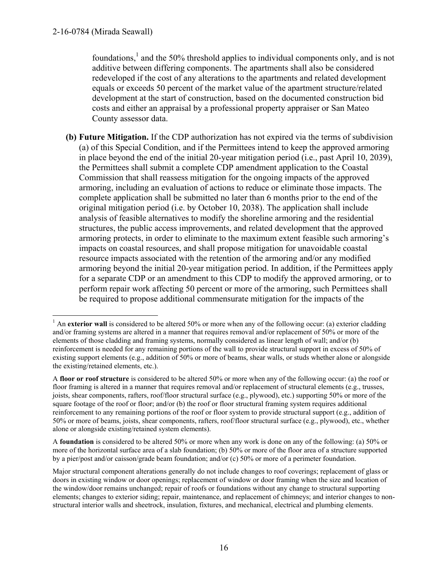foundations,<sup>1</sup> and the 50% threshold applies to individual components only, and is not additive between differing components. The apartments shall also be considered redeveloped if the cost of any alterations to the apartments and related development equals or exceeds 50 percent of the market value of the apartment structure/related development at the start of construction, based on the documented construction bid costs and either an appraisal by a professional property appraiser or San Mateo County assessor data.

**(b) Future Mitigation.** If the CDP authorization has not expired via the terms of subdivision (a) of this Special Condition, and if the Permittees intend to keep the approved armoring in place beyond the end of the initial 20-year mitigation period (i.e., past April 10, 2039), the Permittees shall submit a complete CDP amendment application to the Coastal Commission that shall reassess mitigation for the ongoing impacts of the approved armoring, including an evaluation of actions to reduce or eliminate those impacts. The complete application shall be submitted no later than 6 months prior to the end of the original mitigation period (i.e. by October 10, 2038). The application shall include analysis of feasible alternatives to modify the shoreline armoring and the residential structures, the public access improvements, and related development that the approved armoring protects, in order to eliminate to the maximum extent feasible such armoring's impacts on coastal resources, and shall propose mitigation for unavoidable coastal resource impacts associated with the retention of the armoring and/or any modified armoring beyond the initial 20-year mitigation period. In addition, if the Permittees apply for a separate CDP or an amendment to this CDP to modify the approved armoring, or to perform repair work affecting 50 percent or more of the armoring, such Permittees shall be required to propose additional commensurate mitigation for the impacts of the

A **foundation** is considered to be altered 50% or more when any work is done on any of the following: (a) 50% or more of the horizontal surface area of a slab foundation; (b) 50% or more of the floor area of a structure supported by a pier/post and/or caisson/grade beam foundation; and/or (c) 50% or more of a perimeter foundation.

 $\overline{a}$ <sup>1</sup> An **exterior wall** is considered to be altered 50% or more when any of the following occur: (a) exterior cladding and/or framing systems are altered in a manner that requires removal and/or replacement of 50% or more of the elements of those cladding and framing systems, normally considered as linear length of wall; and/or (b) reinforcement is needed for any remaining portions of the wall to provide structural support in excess of 50% of existing support elements (e.g., addition of 50% or more of beams, shear walls, or studs whether alone or alongside the existing/retained elements, etc.).

A **floor or roof structure** is considered to be altered 50% or more when any of the following occur: (a) the roof or floor framing is altered in a manner that requires removal and/or replacement of structural elements (e.g., trusses, joists, shear components, rafters, roof/floor structural surface (e.g., plywood), etc.) supporting 50% or more of the square footage of the roof or floor; and/or (b) the roof or floor structural framing system requires additional reinforcement to any remaining portions of the roof or floor system to provide structural support (e.g., addition of 50% or more of beams, joists, shear components, rafters, roof/floor structural surface (e.g., plywood), etc., whether alone or alongside existing/retained system elements).

Major structural component alterations generally do not include changes to roof coverings; replacement of glass or doors in existing window or door openings; replacement of window or door framing when the size and location of the window/door remains unchanged; repair of roofs or foundations without any change to structural supporting elements; changes to exterior siding; repair, maintenance, and replacement of chimneys; and interior changes to nonstructural interior walls and sheetrock, insulation, fixtures, and mechanical, electrical and plumbing elements.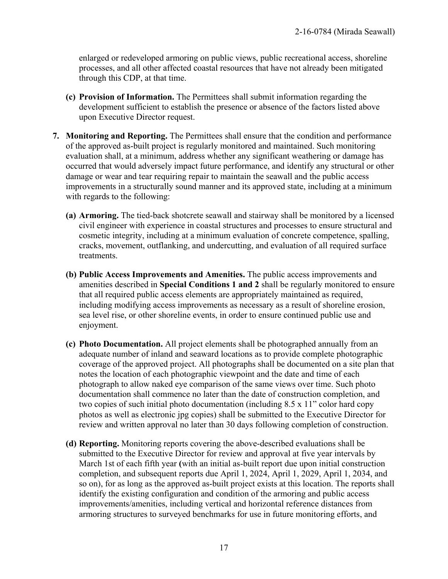enlarged or redeveloped armoring on public views, public recreational access, shoreline processes, and all other affected coastal resources that have not already been mitigated through this CDP, at that time.

- **(c) Provision of Information.** The Permittees shall submit information regarding the development sufficient to establish the presence or absence of the factors listed above upon Executive Director request.
- **7. Monitoring and Reporting.** The Permittees shall ensure that the condition and performance of the approved as-built project is regularly monitored and maintained. Such monitoring evaluation shall, at a minimum, address whether any significant weathering or damage has occurred that would adversely impact future performance, and identify any structural or other damage or wear and tear requiring repair to maintain the seawall and the public access improvements in a structurally sound manner and its approved state, including at a minimum with regards to the following:
	- **(a) Armoring.** The tied-back shotcrete seawall and stairway shall be monitored by a licensed civil engineer with experience in coastal structures and processes to ensure structural and cosmetic integrity, including at a minimum evaluation of concrete competence, spalling, cracks, movement, outflanking, and undercutting, and evaluation of all required surface treatments.
	- **(b) Public Access Improvements and Amenities.** The public access improvements and amenities described in **Special Conditions 1 and 2** shall be regularly monitored to ensure that all required public access elements are appropriately maintained as required, including modifying access improvements as necessary as a result of shoreline erosion, sea level rise, or other shoreline events, in order to ensure continued public use and enjoyment.
	- **(c) Photo Documentation.** All project elements shall be photographed annually from an adequate number of inland and seaward locations as to provide complete photographic coverage of the approved project. All photographs shall be documented on a site plan that notes the location of each photographic viewpoint and the date and time of each photograph to allow naked eye comparison of the same views over time. Such photo documentation shall commence no later than the date of construction completion, and two copies of such initial photo documentation (including 8.5 x 11" color hard copy photos as well as electronic jpg copies) shall be submitted to the Executive Director for review and written approval no later than 30 days following completion of construction.
	- **(d) Reporting.** Monitoring reports covering the above-described evaluations shall be submitted to the Executive Director for review and approval at five year intervals by March 1st of each fifth year **(**with an initial as-built report due upon initial construction completion, and subsequent reports due April 1, 2024, April 1, 2029, April 1, 2034, and so on), for as long as the approved as-built project exists at this location. The reports shall identify the existing configuration and condition of the armoring and public access improvements/amenities, including vertical and horizontal reference distances from armoring structures to surveyed benchmarks for use in future monitoring efforts, and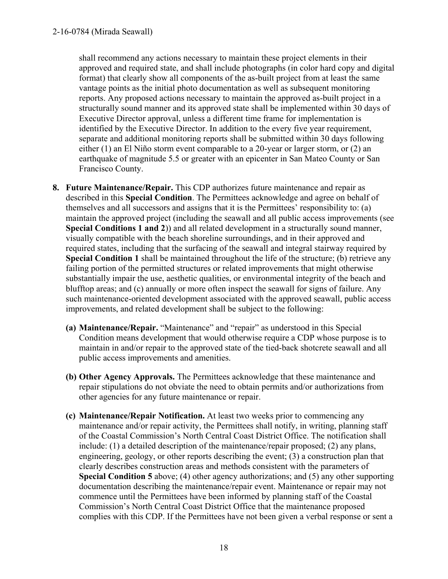shall recommend any actions necessary to maintain these project elements in their approved and required state, and shall include photographs (in color hard copy and digital format) that clearly show all components of the as-built project from at least the same vantage points as the initial photo documentation as well as subsequent monitoring reports. Any proposed actions necessary to maintain the approved as-built project in a structurally sound manner and its approved state shall be implemented within 30 days of Executive Director approval, unless a different time frame for implementation is identified by the Executive Director. In addition to the every five year requirement, separate and additional monitoring reports shall be submitted within 30 days following either (1) an El Niño storm event comparable to a 20-year or larger storm, or (2) an earthquake of magnitude 5.5 or greater with an epicenter in San Mateo County or San Francisco County.

- **8. Future Maintenance/Repair.** This CDP authorizes future maintenance and repair as described in this **Special Condition**. The Permittees acknowledge and agree on behalf of themselves and all successors and assigns that it is the Permittees' responsibility to: (a) maintain the approved project (including the seawall and all public access improvements (see **Special Conditions 1 and 2**)) and all related development in a structurally sound manner, visually compatible with the beach shoreline surroundings, and in their approved and required states, including that the surfacing of the seawall and integral stairway required by **Special Condition 1** shall be maintained throughout the life of the structure; (b) retrieve any failing portion of the permitted structures or related improvements that might otherwise substantially impair the use, aesthetic qualities, or environmental integrity of the beach and blufftop areas; and (c) annually or more often inspect the seawall for signs of failure. Any such maintenance-oriented development associated with the approved seawall, public access improvements, and related development shall be subject to the following:
	- **(a) Maintenance/Repair.** "Maintenance" and "repair" as understood in this Special Condition means development that would otherwise require a CDP whose purpose is to maintain in and/or repair to the approved state of the tied-back shotcrete seawall and all public access improvements and amenities.
	- **(b) Other Agency Approvals.** The Permittees acknowledge that these maintenance and repair stipulations do not obviate the need to obtain permits and/or authorizations from other agencies for any future maintenance or repair.
	- **(c) Maintenance/Repair Notification.** At least two weeks prior to commencing any maintenance and/or repair activity, the Permittees shall notify, in writing, planning staff of the Coastal Commission's North Central Coast District Office. The notification shall include: (1) a detailed description of the maintenance/repair proposed; (2) any plans, engineering, geology, or other reports describing the event; (3) a construction plan that clearly describes construction areas and methods consistent with the parameters of **Special Condition 5** above; (4) other agency authorizations; and (5) any other supporting documentation describing the maintenance/repair event. Maintenance or repair may not commence until the Permittees have been informed by planning staff of the Coastal Commission's North Central Coast District Office that the maintenance proposed complies with this CDP. If the Permittees have not been given a verbal response or sent a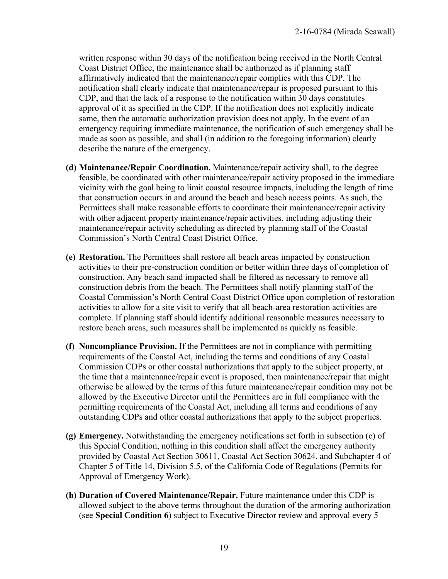written response within 30 days of the notification being received in the North Central Coast District Office, the maintenance shall be authorized as if planning staff affirmatively indicated that the maintenance/repair complies with this CDP. The notification shall clearly indicate that maintenance/repair is proposed pursuant to this CDP, and that the lack of a response to the notification within 30 days constitutes approval of it as specified in the CDP. If the notification does not explicitly indicate same, then the automatic authorization provision does not apply. In the event of an emergency requiring immediate maintenance, the notification of such emergency shall be made as soon as possible, and shall (in addition to the foregoing information) clearly describe the nature of the emergency.

- **(d) Maintenance/Repair Coordination.** Maintenance/repair activity shall, to the degree feasible, be coordinated with other maintenance/repair activity proposed in the immediate vicinity with the goal being to limit coastal resource impacts, including the length of time that construction occurs in and around the beach and beach access points. As such, the Permittees shall make reasonable efforts to coordinate their maintenance/repair activity with other adjacent property maintenance/repair activities, including adjusting their maintenance/repair activity scheduling as directed by planning staff of the Coastal Commission's North Central Coast District Office.
- **(e) Restoration.** The Permittees shall restore all beach areas impacted by construction activities to their pre-construction condition or better within three days of completion of construction. Any beach sand impacted shall be filtered as necessary to remove all construction debris from the beach. The Permittees shall notify planning staff of the Coastal Commission's North Central Coast District Office upon completion of restoration activities to allow for a site visit to verify that all beach-area restoration activities are complete. If planning staff should identify additional reasonable measures necessary to restore beach areas, such measures shall be implemented as quickly as feasible.
- **(f) Noncompliance Provision.** If the Permittees are not in compliance with permitting requirements of the Coastal Act, including the terms and conditions of any Coastal Commission CDPs or other coastal authorizations that apply to the subject property, at the time that a maintenance/repair event is proposed, then maintenance/repair that might otherwise be allowed by the terms of this future maintenance/repair condition may not be allowed by the Executive Director until the Permittees are in full compliance with the permitting requirements of the Coastal Act, including all terms and conditions of any outstanding CDPs and other coastal authorizations that apply to the subject properties.
- **(g) Emergency.** Notwithstanding the emergency notifications set forth in subsection (c) of this Special Condition, nothing in this condition shall affect the emergency authority provided by Coastal Act Section 30611, Coastal Act Section 30624, and Subchapter 4 of Chapter 5 of Title 14, Division 5.5, of the California Code of Regulations (Permits for Approval of Emergency Work).
- **(h) Duration of Covered Maintenance/Repair.** Future maintenance under this CDP is allowed subject to the above terms throughout the duration of the armoring authorization (see **Special Condition 6**) subject to Executive Director review and approval every 5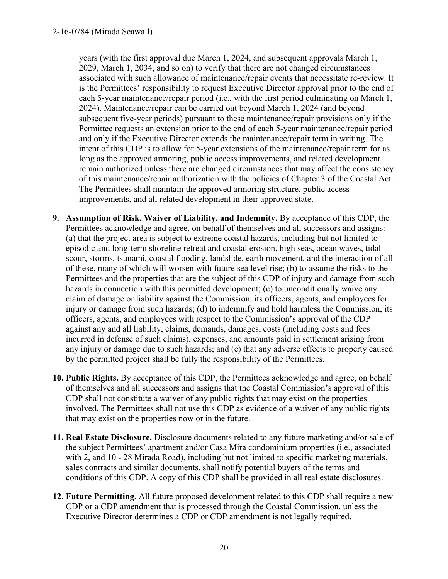years (with the first approval due March 1, 2024, and subsequent approvals March 1, 2029, March 1, 2034, and so on) to verify that there are not changed circumstances associated with such allowance of maintenance/repair events that necessitate re-review. It is the Permittees' responsibility to request Executive Director approval prior to the end of each 5-year maintenance/repair period (i.e., with the first period culminating on March 1, 2024). Maintenance/repair can be carried out beyond March 1, 2024 (and beyond subsequent five-year periods) pursuant to these maintenance/repair provisions only if the Permittee requests an extension prior to the end of each 5-year maintenance/repair period and only if the Executive Director extends the maintenance/repair term in writing. The intent of this CDP is to allow for 5-year extensions of the maintenance/repair term for as long as the approved armoring, public access improvements, and related development remain authorized unless there are changed circumstances that may affect the consistency of this maintenance/repair authorization with the policies of Chapter 3 of the Coastal Act. The Permittees shall maintain the approved armoring structure, public access improvements, and all related development in their approved state.

- **9. Assumption of Risk, Waiver of Liability, and Indemnity.** By acceptance of this CDP, the Permittees acknowledge and agree, on behalf of themselves and all successors and assigns: (a) that the project area is subject to extreme coastal hazards, including but not limited to episodic and long-term shoreline retreat and coastal erosion, high seas, ocean waves, tidal scour, storms, tsunami, coastal flooding, landslide, earth movement, and the interaction of all of these, many of which will worsen with future sea level rise; (b) to assume the risks to the Permittees and the properties that are the subject of this CDP of injury and damage from such hazards in connection with this permitted development; (c) to unconditionally waive any claim of damage or liability against the Commission, its officers, agents, and employees for injury or damage from such hazards; (d) to indemnify and hold harmless the Commission, its officers, agents, and employees with respect to the Commission's approval of the CDP against any and all liability, claims, demands, damages, costs (including costs and fees incurred in defense of such claims), expenses, and amounts paid in settlement arising from any injury or damage due to such hazards; and (e) that any adverse effects to property caused by the permitted project shall be fully the responsibility of the Permittees.
- **10. Public Rights.** By acceptance of this CDP, the Permittees acknowledge and agree, on behalf of themselves and all successors and assigns that the Coastal Commission's approval of this CDP shall not constitute a waiver of any public rights that may exist on the properties involved. The Permittees shall not use this CDP as evidence of a waiver of any public rights that may exist on the properties now or in the future.
- **11. Real Estate Disclosure.** Disclosure documents related to any future marketing and/or sale of the subject Permittees' apartment and/or Casa Mira condominium properties (i.e., associated with 2, and 10 - 28 Mirada Road), including but not limited to specific marketing materials, sales contracts and similar documents, shall notify potential buyers of the terms and conditions of this CDP. A copy of this CDP shall be provided in all real estate disclosures.
- **12. Future Permitting.** All future proposed development related to this CDP shall require a new CDP or a CDP amendment that is processed through the Coastal Commission, unless the Executive Director determines a CDP or CDP amendment is not legally required.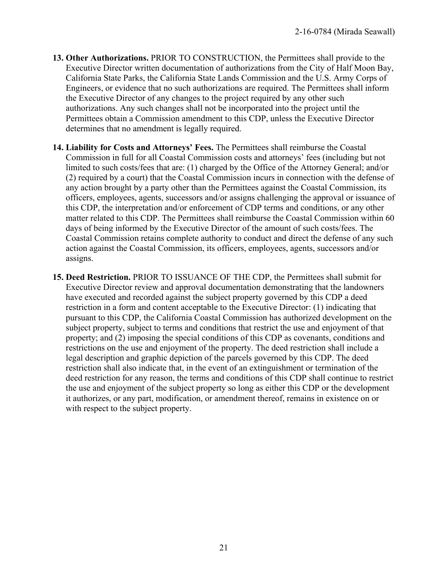- **13. Other Authorizations.** PRIOR TO CONSTRUCTION, the Permittees shall provide to the Executive Director written documentation of authorizations from the City of Half Moon Bay, California State Parks, the California State Lands Commission and the U.S. Army Corps of Engineers, or evidence that no such authorizations are required. The Permittees shall inform the Executive Director of any changes to the project required by any other such authorizations. Any such changes shall not be incorporated into the project until the Permittees obtain a Commission amendment to this CDP, unless the Executive Director determines that no amendment is legally required.
- **14. Liability for Costs and Attorneys' Fees.** The Permittees shall reimburse the Coastal Commission in full for all Coastal Commission costs and attorneys' fees (including but not limited to such costs/fees that are: (1) charged by the Office of the Attorney General; and/or (2) required by a court) that the Coastal Commission incurs in connection with the defense of any action brought by a party other than the Permittees against the Coastal Commission, its officers, employees, agents, successors and/or assigns challenging the approval or issuance of this CDP, the interpretation and/or enforcement of CDP terms and conditions, or any other matter related to this CDP. The Permittees shall reimburse the Coastal Commission within 60 days of being informed by the Executive Director of the amount of such costs/fees. The Coastal Commission retains complete authority to conduct and direct the defense of any such action against the Coastal Commission, its officers, employees, agents, successors and/or assigns.
- **15. Deed Restriction.** PRIOR TO ISSUANCE OF THE CDP, the Permittees shall submit for Executive Director review and approval documentation demonstrating that the landowners have executed and recorded against the subject property governed by this CDP a deed restriction in a form and content acceptable to the Executive Director: (1) indicating that pursuant to this CDP, the California Coastal Commission has authorized development on the subject property, subject to terms and conditions that restrict the use and enjoyment of that property; and (2) imposing the special conditions of this CDP as covenants, conditions and restrictions on the use and enjoyment of the property. The deed restriction shall include a legal description and graphic depiction of the parcels governed by this CDP. The deed restriction shall also indicate that, in the event of an extinguishment or termination of the deed restriction for any reason, the terms and conditions of this CDP shall continue to restrict the use and enjoyment of the subject property so long as either this CDP or the development it authorizes, or any part, modification, or amendment thereof, remains in existence on or with respect to the subject property.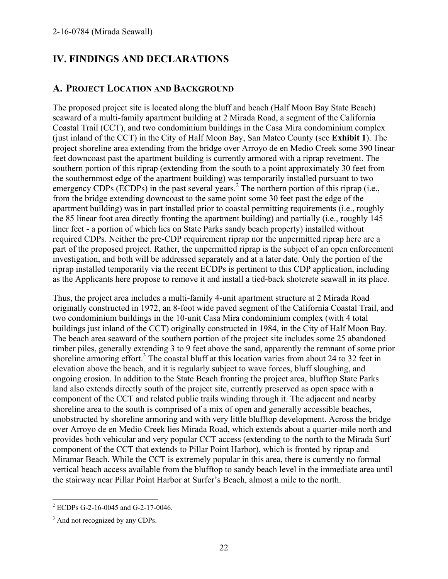# **IV. FINDINGS AND DECLARATIONS**

# **A. PROJECT LOCATION AND BACKGROUND**

The proposed project site is located along the bluff and beach (Half Moon Bay State Beach) seaward of a multi-family apartment building at 2 Mirada Road, a segment of the California Coastal Trail (CCT), and two condominium buildings in the Casa Mira condominium complex (just inland of the CCT) in the City of Half Moon Bay, San Mateo County (see **Exhibit 1**). The project shoreline area extending from the bridge over Arroyo de en Medio Creek some 390 linear feet downcoast past the apartment building is currently armored with a riprap revetment. The southern portion of this riprap (extending from the south to a point approximately 30 feet from the southernmost edge of the apartment building) was temporarily installed pursuant to two emergency CDPs (ECDPs) in the past several years.<sup>2</sup> The northern portion of this riprap (i.e., from the bridge extending downcoast to the same point some 30 feet past the edge of the apartment building) was in part installed prior to coastal permitting requirements (i.e., roughly the 85 linear foot area directly fronting the apartment building) and partially (i.e., roughly 145 liner feet - a portion of which lies on State Parks sandy beach property) installed without required CDPs. Neither the pre-CDP requirement riprap nor the unpermitted riprap here are a part of the proposed project. Rather, the unpermitted riprap is the subject of an open enforcement investigation, and both will be addressed separately and at a later date. Only the portion of the riprap installed temporarily via the recent ECDPs is pertinent to this CDP application, including as the Applicants here propose to remove it and install a tied-back shotcrete seawall in its place.

Thus, the project area includes a multi-family 4-unit apartment structure at 2 Mirada Road originally constructed in 1972, an 8-foot wide paved segment of the California Coastal Trail, and two condominium buildings in the 10-unit Casa Mira condominium complex (with 4 total buildings just inland of the CCT) originally constructed in 1984, in the City of Half Moon Bay. The beach area seaward of the southern portion of the project site includes some 25 abandoned timber piles, generally extending 3 to 9 feet above the sand, apparently the remnant of some prior shoreline armoring effort.<sup>3</sup> The coastal bluff at this location varies from about 24 to 32 feet in elevation above the beach, and it is regularly subject to wave forces, bluff sloughing, and ongoing erosion. In addition to the State Beach fronting the project area, blufftop State Parks land also extends directly south of the project site, currently preserved as open space with a component of the CCT and related public trails winding through it. The adjacent and nearby shoreline area to the south is comprised of a mix of open and generally accessible beaches, unobstructed by shoreline armoring and with very little blufftop development. Across the bridge over Arroyo de en Medio Creek lies Mirada Road, which extends about a quarter-mile north and provides both vehicular and very popular CCT access (extending to the north to the Mirada Surf component of the CCT that extends to Pillar Point Harbor), which is fronted by riprap and Miramar Beach. While the CCT is extremely popular in this area, there is currently no formal vertical beach access available from the blufftop to sandy beach level in the immediate area until the stairway near Pillar Point Harbor at Surfer's Beach, almost a mile to the north.

 2 ECDPs G-2-16-0045 and G-2-17-0046.

<sup>&</sup>lt;sup>3</sup> And not recognized by any CDPs.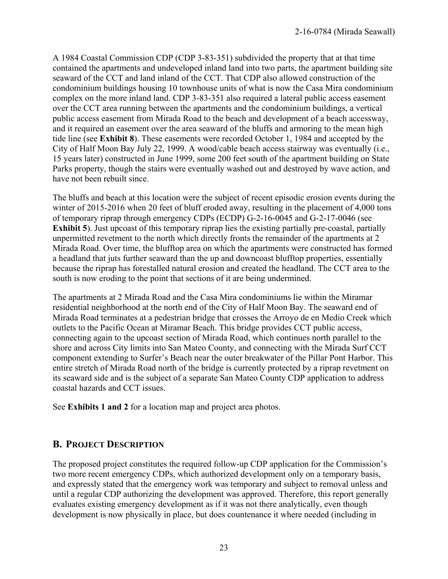A 1984 Coastal Commission CDP (CDP 3-83-351) subdivided the property that at that time contained the apartments and undeveloped inland land into two parts, the apartment building site seaward of the CCT and land inland of the CCT. That CDP also allowed construction of the condominium buildings housing 10 townhouse units of what is now the Casa Mira condominium complex on the more inland land. CDP 3-83-351 also required a lateral public access easement over the CCT area running between the apartments and the condominium buildings, a vertical public access easement from Mirada Road to the beach and development of a beach accessway, and it required an easement over the area seaward of the bluffs and armoring to the mean high tide line (see **Exhibit 8**). These easements were recorded October 1, 1984 and accepted by the City of Half Moon Bay July 22, 1999. A wood/cable beach access stairway was eventually (i.e., 15 years later) constructed in June 1999, some 200 feet south of the apartment building on State Parks property, though the stairs were eventually washed out and destroyed by wave action, and have not been rebuilt since.

The bluffs and beach at this location were the subject of recent episodic erosion events during the winter of 2015-2016 when 20 feet of bluff eroded away, resulting in the placement of 4,000 tons of temporary riprap through emergency CDPs (ECDP) G-2-16-0045 and G-2-17-0046 (see **Exhibit 5**). Just upcoast of this temporary riprap lies the existing partially pre-coastal, partially unpermitted revetment to the north which directly fronts the remainder of the apartments at 2 Mirada Road. Over time, the blufftop area on which the apartments were constructed has formed a headland that juts further seaward than the up and downcoast blufftop properties, essentially because the riprap has forestalled natural erosion and created the headland. The CCT area to the south is now eroding to the point that sections of it are being undermined.

The apartments at 2 Mirada Road and the Casa Mira condominiums lie within the Miramar residential neighborhood at the north end of the City of Half Moon Bay. The seaward end of Mirada Road terminates at a pedestrian bridge that crosses the Arroyo de en Medio Creek which outlets to the Pacific Ocean at Miramar Beach. This bridge provides CCT public access, connecting again to the upcoast section of Mirada Road, which continues north parallel to the shore and across City limits into San Mateo County, and connecting with the Mirada Surf CCT component extending to Surfer's Beach near the outer breakwater of the Pillar Pont Harbor. This entire stretch of Mirada Road north of the bridge is currently protected by a riprap revetment on its seaward side and is the subject of a separate San Mateo County CDP application to address coastal hazards and CCT issues.

See **Exhibits 1 and 2** for a location map and project area photos.

### **B. PROJECT DESCRIPTION**

The proposed project constitutes the required follow-up CDP application for the Commission's two more recent emergency CDPs, which authorized development only on a temporary basis, and expressly stated that the emergency work was temporary and subject to removal unless and until a regular CDP authorizing the development was approved. Therefore, this report generally evaluates existing emergency development as if it was not there analytically, even though development is now physically in place, but does countenance it where needed (including in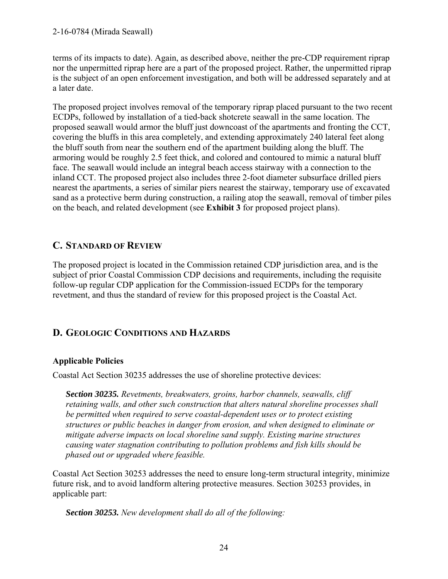terms of its impacts to date). Again, as described above, neither the pre-CDP requirement riprap nor the unpermitted riprap here are a part of the proposed project. Rather, the unpermitted riprap is the subject of an open enforcement investigation, and both will be addressed separately and at a later date.

The proposed project involves removal of the temporary riprap placed pursuant to the two recent ECDPs, followed by installation of a tied-back shotcrete seawall in the same location. The proposed seawall would armor the bluff just downcoast of the apartments and fronting the CCT, covering the bluffs in this area completely, and extending approximately 240 lateral feet along the bluff south from near the southern end of the apartment building along the bluff. The armoring would be roughly 2.5 feet thick, and colored and contoured to mimic a natural bluff face. The seawall would include an integral beach access stairway with a connection to the inland CCT. The proposed project also includes three 2-foot diameter subsurface drilled piers nearest the apartments, a series of similar piers nearest the stairway, temporary use of excavated sand as a protective berm during construction, a railing atop the seawall, removal of timber piles on the beach, and related development (see **Exhibit 3** for proposed project plans).

# **C. STANDARD OF REVIEW**

The proposed project is located in the Commission retained CDP jurisdiction area, and is the subject of prior Coastal Commission CDP decisions and requirements, including the requisite follow-up regular CDP application for the Commission-issued ECDPs for the temporary revetment, and thus the standard of review for this proposed project is the Coastal Act.

# **D. GEOLOGIC CONDITIONS AND HAZARDS**

# **Applicable Policies**

Coastal Act Section 30235 addresses the use of shoreline protective devices:

*Section 30235. Revetments, breakwaters, groins, harbor channels, seawalls, cliff retaining walls, and other such construction that alters natural shoreline processes shall be permitted when required to serve coastal-dependent uses or to protect existing structures or public beaches in danger from erosion, and when designed to eliminate or mitigate adverse impacts on local shoreline sand supply. Existing marine structures causing water stagnation contributing to pollution problems and fish kills should be phased out or upgraded where feasible.* 

Coastal Act Section 30253 addresses the need to ensure long-term structural integrity, minimize future risk, and to avoid landform altering protective measures. Section 30253 provides, in applicable part:

*Section 30253. New development shall do all of the following:*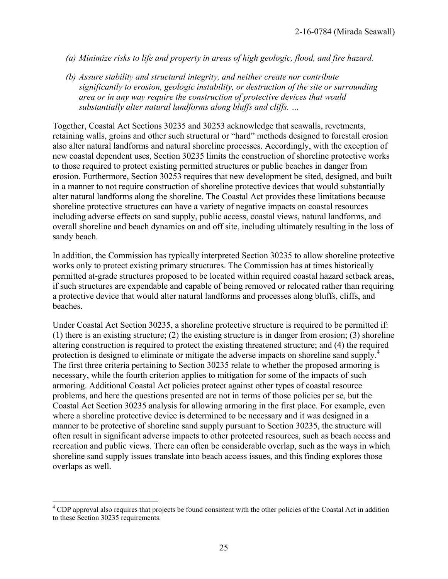- *(a) Minimize risks to life and property in areas of high geologic, flood, and fire hazard.*
- *(b) Assure stability and structural integrity, and neither create nor contribute significantly to erosion, geologic instability, or destruction of the site or surrounding area or in any way require the construction of protective devices that would substantially alter natural landforms along bluffs and cliffs. …*

Together, Coastal Act Sections 30235 and 30253 acknowledge that seawalls, revetments, retaining walls, groins and other such structural or "hard" methods designed to forestall erosion also alter natural landforms and natural shoreline processes. Accordingly, with the exception of new coastal dependent uses, Section 30235 limits the construction of shoreline protective works to those required to protect existing permitted structures or public beaches in danger from erosion. Furthermore, Section 30253 requires that new development be sited, designed, and built in a manner to not require construction of shoreline protective devices that would substantially alter natural landforms along the shoreline. The Coastal Act provides these limitations because shoreline protective structures can have a variety of negative impacts on coastal resources including adverse effects on sand supply, public access, coastal views, natural landforms, and overall shoreline and beach dynamics on and off site, including ultimately resulting in the loss of sandy beach.

In addition, the Commission has typically interpreted Section 30235 to allow shoreline protective works only to protect existing primary structures. The Commission has at times historically permitted at-grade structures proposed to be located within required coastal hazard setback areas, if such structures are expendable and capable of being removed or relocated rather than requiring a protective device that would alter natural landforms and processes along bluffs, cliffs, and beaches.

Under Coastal Act Section 30235, a shoreline protective structure is required to be permitted if: (1) there is an existing structure; (2) the existing structure is in danger from erosion; (3) shoreline altering construction is required to protect the existing threatened structure; and (4) the required protection is designed to eliminate or mitigate the adverse impacts on shoreline sand supply.<sup>4</sup> The first three criteria pertaining to Section 30235 relate to whether the proposed armoring is necessary, while the fourth criterion applies to mitigation for some of the impacts of such armoring. Additional Coastal Act policies protect against other types of coastal resource problems, and here the questions presented are not in terms of those policies per se, but the Coastal Act Section 30235 analysis for allowing armoring in the first place. For example, even where a shoreline protective device is determined to be necessary and it was designed in a manner to be protective of shoreline sand supply pursuant to Section 30235, the structure will often result in significant adverse impacts to other protected resources, such as beach access and recreation and public views. There can often be considerable overlap, such as the ways in which shoreline sand supply issues translate into beach access issues, and this finding explores those overlaps as well.

 $\overline{a}$ 

<sup>&</sup>lt;sup>4</sup> CDP approval also requires that projects be found consistent with the other policies of the Coastal Act in addition to these Section 30235 requirements.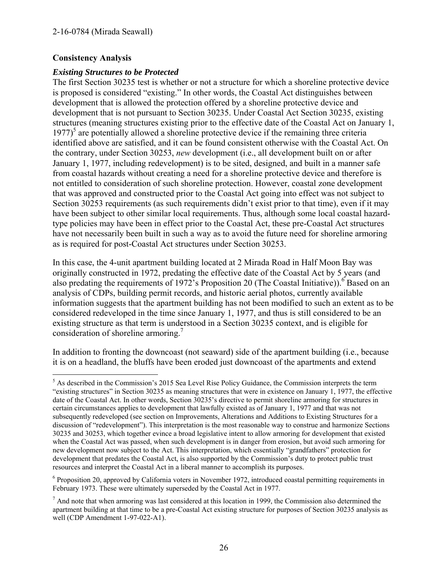#### **Consistency Analysis**

#### *Existing Structures to be Protected*

The first Section 30235 test is whether or not a structure for which a shoreline protective device is proposed is considered "existing." In other words, the Coastal Act distinguishes between development that is allowed the protection offered by a shoreline protective device and development that is not pursuant to Section 30235. Under Coastal Act Section 30235, existing structures (meaning structures existing prior to the effective date of the Coastal Act on January 1, 1977)<sup>5</sup> are potentially allowed a shoreline protective device if the remaining three criteria identified above are satisfied, and it can be found consistent otherwise with the Coastal Act. On the contrary, under Section 30253, *new* development (i.e., all development built on or after January 1, 1977, including redevelopment) is to be sited, designed, and built in a manner safe from coastal hazards without creating a need for a shoreline protective device and therefore is not entitled to consideration of such shoreline protection. However, coastal zone development that was approved and constructed prior to the Coastal Act going into effect was not subject to Section 30253 requirements (as such requirements didn't exist prior to that time), even if it may have been subject to other similar local requirements. Thus, although some local coastal hazardtype policies may have been in effect prior to the Coastal Act, these pre-Coastal Act structures have not necessarily been built in such a way as to avoid the future need for shoreline armoring as is required for post-Coastal Act structures under Section 30253.

In this case, the 4-unit apartment building located at 2 Mirada Road in Half Moon Bay was originally constructed in 1972, predating the effective date of the Coastal Act by 5 years (and also predating the requirements of 1972's Proposition 20 (The Coastal Initiative)).<sup>6</sup> Based on an analysis of CDPs, building permit records, and historic aerial photos, currently available information suggests that the apartment building has not been modified to such an extent as to be considered redeveloped in the time since January 1, 1977, and thus is still considered to be an existing structure as that term is understood in a Section 30235 context, and is eligible for consideration of shoreline armoring.<sup>7</sup>

In addition to fronting the downcoast (not seaward) side of the apartment building (i.e., because it is on a headland, the bluffs have been eroded just downcoast of the apartments and extend

<sup>6</sup> Proposition 20, approved by California voters in November 1972, introduced coastal permitting requirements in February 1973. These were ultimately superseded by the Coastal Act in 1977.

<sup>&</sup>lt;sup>5</sup> As described in the Commission's 2015 Sea Level Rise Policy Guidance, the Commission interprets the term "existing structures" in Section 30235 as meaning structures that were in existence on January 1, 1977, the effective date of the Coastal Act. In other words, Section 30235's directive to permit shoreline armoring for structures in certain circumstances applies to development that lawfully existed as of January 1, 1977 and that was not subsequently redeveloped (see section on Improvements, Alterations and Additions to Existing Structures for a discussion of "redevelopment"). This interpretation is the most reasonable way to construe and harmonize Sections 30235 and 30253, which together evince a broad legislative intent to allow armoring for development that existed when the Coastal Act was passed, when such development is in danger from erosion, but avoid such armoring for new development now subject to the Act. This interpretation, which essentially "grandfathers" protection for development that predates the Coastal Act, is also supported by the Commission's duty to protect public trust resources and interpret the Coastal Act in a liberal manner to accomplish its purposes.

 $<sup>7</sup>$  And note that when armoring was last considered at this location in 1999, the Commission also determined the</sup> apartment building at that time to be a pre-Coastal Act existing structure for purposes of Section 30235 analysis as well (CDP Amendment 1-97-022-A1).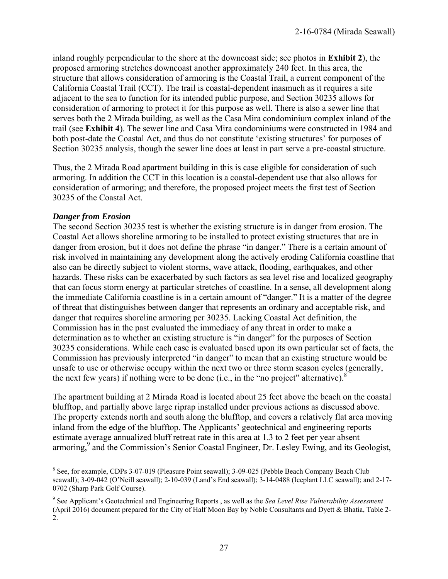inland roughly perpendicular to the shore at the downcoast side; see photos in **Exhibit 2**), the proposed armoring stretches downcoast another approximately 240 feet. In this area, the structure that allows consideration of armoring is the Coastal Trail, a current component of the California Coastal Trail (CCT). The trail is coastal-dependent inasmuch as it requires a site adjacent to the sea to function for its intended public purpose, and Section 30235 allows for consideration of armoring to protect it for this purpose as well. There is also a sewer line that serves both the 2 Mirada building, as well as the Casa Mira condominium complex inland of the trail (see **Exhibit 4**). The sewer line and Casa Mira condominiums were constructed in 1984 and both post-date the Coastal Act, and thus do not constitute 'existing structures' for purposes of Section 30235 analysis, though the sewer line does at least in part serve a pre-coastal structure.

Thus, the 2 Mirada Road apartment building in this is case eligible for consideration of such armoring. In addition the CCT in this location is a coastal-dependent use that also allows for consideration of armoring; and therefore, the proposed project meets the first test of Section 30235 of the Coastal Act.

#### *Danger from Erosion*

The second Section 30235 test is whether the existing structure is in danger from erosion. The Coastal Act allows shoreline armoring to be installed to protect existing structures that are in danger from erosion, but it does not define the phrase "in danger." There is a certain amount of risk involved in maintaining any development along the actively eroding California coastline that also can be directly subject to violent storms, wave attack, flooding, earthquakes, and other hazards. These risks can be exacerbated by such factors as sea level rise and localized geography that can focus storm energy at particular stretches of coastline. In a sense, all development along the immediate California coastline is in a certain amount of "danger." It is a matter of the degree of threat that distinguishes between danger that represents an ordinary and acceptable risk, and danger that requires shoreline armoring per 30235. Lacking Coastal Act definition, the Commission has in the past evaluated the immediacy of any threat in order to make a determination as to whether an existing structure is "in danger" for the purposes of Section 30235 considerations. While each case is evaluated based upon its own particular set of facts, the Commission has previously interpreted "in danger" to mean that an existing structure would be unsafe to use or otherwise occupy within the next two or three storm season cycles (generally, the next few years) if nothing were to be done (i.e., in the "no project" alternative). $8$ 

The apartment building at 2 Mirada Road is located about 25 feet above the beach on the coastal blufftop, and partially above large riprap installed under previous actions as discussed above. The property extends north and south along the blufftop, and covers a relatively flat area moving inland from the edge of the blufftop. The Applicants' geotechnical and engineering reports estimate average annualized bluff retreat rate in this area at 1.3 to 2 feet per year absent armoring,<sup>9</sup> and the Commission's Senior Coastal Engineer, Dr. Lesley Ewing, and its Geologist,

<sup>&</sup>lt;sup>8</sup> See, for example, CDPs 3-07-019 (Pleasure Point seawall); 3-09-025 (Pebble Beach Company Beach Club seawall); 3-09-042 (O'Neill seawall); 2-10-039 (Land's End seawall); 3-14-0488 (Iceplant LLC seawall); and 2-17- 0702 (Sharp Park Golf Course).

<sup>9</sup> See Applicant's Geotechnical and Engineering Reports , as well as the *Sea Level Rise Vulnerability Assessment* (April 2016) document prepared for the City of Half Moon Bay by Noble Consultants and Dyett & Bhatia, Table 2- 2.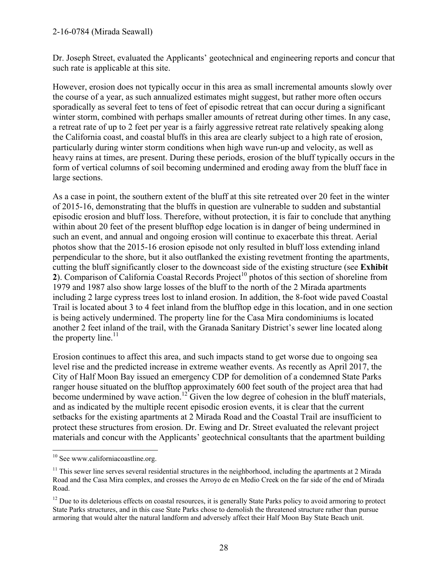#### 2-16-0784 (Mirada Seawall)

Dr. Joseph Street, evaluated the Applicants' geotechnical and engineering reports and concur that such rate is applicable at this site.

However, erosion does not typically occur in this area as small incremental amounts slowly over the course of a year, as such annualized estimates might suggest, but rather more often occurs sporadically as several feet to tens of feet of episodic retreat that can occur during a significant winter storm, combined with perhaps smaller amounts of retreat during other times. In any case, a retreat rate of up to 2 feet per year is a fairly aggressive retreat rate relatively speaking along the California coast, and coastal bluffs in this area are clearly subject to a high rate of erosion, particularly during winter storm conditions when high wave run-up and velocity, as well as heavy rains at times, are present. During these periods, erosion of the bluff typically occurs in the form of vertical columns of soil becoming undermined and eroding away from the bluff face in large sections.

As a case in point, the southern extent of the bluff at this site retreated over 20 feet in the winter of 2015-16, demonstrating that the bluffs in question are vulnerable to sudden and substantial episodic erosion and bluff loss. Therefore, without protection, it is fair to conclude that anything within about 20 feet of the present blufftop edge location is in danger of being undermined in such an event, and annual and ongoing erosion will continue to exacerbate this threat. Aerial photos show that the 2015-16 erosion episode not only resulted in bluff loss extending inland perpendicular to the shore, but it also outflanked the existing revetment fronting the apartments, cutting the bluff significantly closer to the downcoast side of the existing structure (see **Exhibit**  2). Comparison of California Coastal Records Project<sup>10</sup> photos of this section of shoreline from 1979 and 1987 also show large losses of the bluff to the north of the 2 Mirada apartments including 2 large cypress trees lost to inland erosion. In addition, the 8-foot wide paved Coastal Trail is located about 3 to 4 feet inland from the blufftop edge in this location, and in one section is being actively undermined. The property line for the Casa Mira condominiums is located another 2 feet inland of the trail, with the Granada Sanitary District's sewer line located along the property line. $11$ 

Erosion continues to affect this area, and such impacts stand to get worse due to ongoing sea level rise and the predicted increase in extreme weather events. As recently as April 2017, the City of Half Moon Bay issued an emergency CDP for demolition of a condemned State Parks ranger house situated on the blufftop approximately 600 feet south of the project area that had become undermined by wave action.<sup>12</sup> Given the low degree of cohesion in the bluff materials, and as indicated by the multiple recent episodic erosion events, it is clear that the current setbacks for the existing apartments at 2 Mirada Road and the Coastal Trail are insufficient to protect these structures from erosion. Dr. Ewing and Dr. Street evaluated the relevant project materials and concur with the Applicants' geotechnical consultants that the apartment building

 $\overline{a}$ 

<sup>&</sup>lt;sup>10</sup> See www.californiacoastline.org.

 $11$  This sewer line serves several residential structures in the neighborhood, including the apartments at 2 Mirada Road and the Casa Mira complex, and crosses the Arroyo de en Medio Creek on the far side of the end of Mirada Road.

 $12$  Due to its deleterious effects on coastal resources, it is generally State Parks policy to avoid armoring to protect State Parks structures, and in this case State Parks chose to demolish the threatened structure rather than pursue armoring that would alter the natural landform and adversely affect their Half Moon Bay State Beach unit.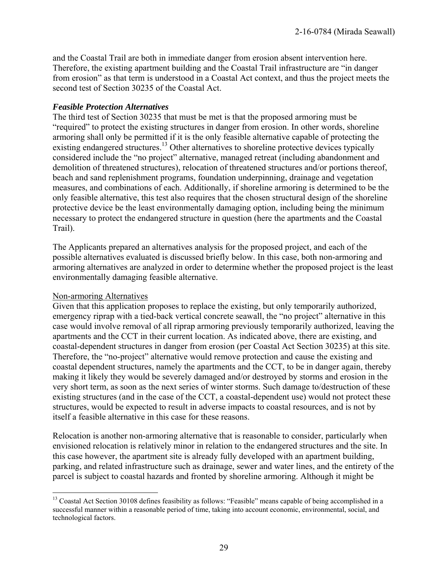and the Coastal Trail are both in immediate danger from erosion absent intervention here. Therefore, the existing apartment building and the Coastal Trail infrastructure are "in danger from erosion" as that term is understood in a Coastal Act context, and thus the project meets the second test of Section 30235 of the Coastal Act.

#### *Feasible Protection Alternatives*

The third test of Section 30235 that must be met is that the proposed armoring must be "required" to protect the existing structures in danger from erosion. In other words, shoreline armoring shall only be permitted if it is the only feasible alternative capable of protecting the existing endangered structures.<sup>13</sup> Other alternatives to shoreline protective devices typically considered include the "no project" alternative, managed retreat (including abandonment and demolition of threatened structures), relocation of threatened structures and/or portions thereof, beach and sand replenishment programs, foundation underpinning, drainage and vegetation measures, and combinations of each. Additionally, if shoreline armoring is determined to be the only feasible alternative, this test also requires that the chosen structural design of the shoreline protective device be the least environmentally damaging option, including being the minimum necessary to protect the endangered structure in question (here the apartments and the Coastal Trail).

The Applicants prepared an alternatives analysis for the proposed project, and each of the possible alternatives evaluated is discussed briefly below. In this case, both non-armoring and armoring alternatives are analyzed in order to determine whether the proposed project is the least environmentally damaging feasible alternative.

#### Non-armoring Alternatives

Given that this application proposes to replace the existing, but only temporarily authorized, emergency riprap with a tied-back vertical concrete seawall, the "no project" alternative in this case would involve removal of all riprap armoring previously temporarily authorized, leaving the apartments and the CCT in their current location. As indicated above, there are existing, and coastal-dependent structures in danger from erosion (per Coastal Act Section 30235) at this site. Therefore, the "no-project" alternative would remove protection and cause the existing and coastal dependent structures, namely the apartments and the CCT, to be in danger again, thereby making it likely they would be severely damaged and/or destroyed by storms and erosion in the very short term, as soon as the next series of winter storms. Such damage to/destruction of these existing structures (and in the case of the CCT, a coastal-dependent use) would not protect these structures, would be expected to result in adverse impacts to coastal resources, and is not by itself a feasible alternative in this case for these reasons.

Relocation is another non-armoring alternative that is reasonable to consider, particularly when envisioned relocation is relatively minor in relation to the endangered structures and the site. In this case however, the apartment site is already fully developed with an apartment building, parking, and related infrastructure such as drainage, sewer and water lines, and the entirety of the parcel is subject to coastal hazards and fronted by shoreline armoring. Although it might be

 $\overline{a}$ <sup>13</sup> Coastal Act Section 30108 defines feasibility as follows: "Feasible" means capable of being accomplished in a successful manner within a reasonable period of time, taking into account economic, environmental, social, and technological factors.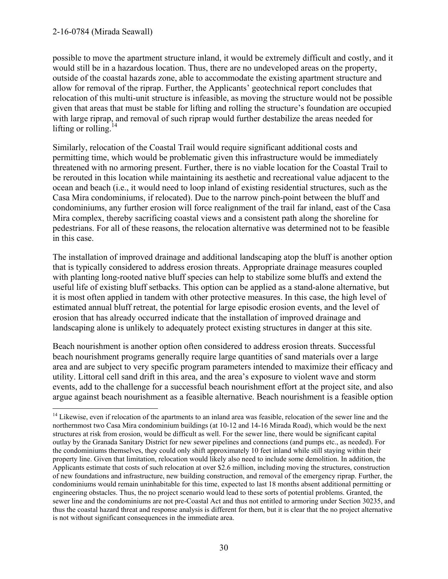possible to move the apartment structure inland, it would be extremely difficult and costly, and it would still be in a hazardous location. Thus, there are no undeveloped areas on the property, outside of the coastal hazards zone, able to accommodate the existing apartment structure and allow for removal of the riprap. Further, the Applicants' geotechnical report concludes that relocation of this multi-unit structure is infeasible, as moving the structure would not be possible given that areas that must be stable for lifting and rolling the structure's foundation are occupied with large riprap, and removal of such riprap would further destabilize the areas needed for lifting or rolling. $14$ 

Similarly, relocation of the Coastal Trail would require significant additional costs and permitting time, which would be problematic given this infrastructure would be immediately threatened with no armoring present. Further, there is no viable location for the Coastal Trail to be rerouted in this location while maintaining its aesthetic and recreational value adjacent to the ocean and beach (i.e., it would need to loop inland of existing residential structures, such as the Casa Mira condominiums, if relocated). Due to the narrow pinch-point between the bluff and condominiums, any further erosion will force realignment of the trail far inland, east of the Casa Mira complex, thereby sacrificing coastal views and a consistent path along the shoreline for pedestrians. For all of these reasons, the relocation alternative was determined not to be feasible in this case.

The installation of improved drainage and additional landscaping atop the bluff is another option that is typically considered to address erosion threats. Appropriate drainage measures coupled with planting long-rooted native bluff species can help to stabilize some bluffs and extend the useful life of existing bluff setbacks. This option can be applied as a stand-alone alternative, but it is most often applied in tandem with other protective measures. In this case, the high level of estimated annual bluff retreat, the potential for large episodic erosion events, and the level of erosion that has already occurred indicate that the installation of improved drainage and landscaping alone is unlikely to adequately protect existing structures in danger at this site.

Beach nourishment is another option often considered to address erosion threats. Successful beach nourishment programs generally require large quantities of sand materials over a large area and are subject to very specific program parameters intended to maximize their efficacy and utility. Littoral cell sand drift in this area, and the area's exposure to violent wave and storm events, add to the challenge for a successful beach nourishment effort at the project site, and also argue against beach nourishment as a feasible alternative. Beach nourishment is a feasible option

 $\overline{a}$ <sup>14</sup> Likewise, even if relocation of the apartments to an inland area was feasible, relocation of the sewer line and the northernmost two Casa Mira condominium buildings (at 10-12 and 14-16 Mirada Road), which would be the next structures at risk from erosion, would be difficult as well. For the sewer line, there would be significant capital outlay by the Granada Sanitary District for new sewer pipelines and connections (and pumps etc., as needed). For the condominiums themselves, they could only shift approximately 10 feet inland while still staying within their property line. Given that limitation, relocation would likely also need to include some demolition. In addition, the Applicants estimate that costs of such relocation at over \$2.6 million, including moving the structures, construction of new foundations and infrastructure, new building construction, and removal of the emergency riprap. Further, the condominiums would remain uninhabitable for this time, expected to last 18 months absent additional permitting or engineering obstacles. Thus, the no project scenario would lead to these sorts of potential problems. Granted, the sewer line and the condominiums are not pre-Coastal Act and thus not entitled to armoring under Section 30235, and thus the coastal hazard threat and response analysis is different for them, but it is clear that the no project alternative is not without significant consequences in the immediate area.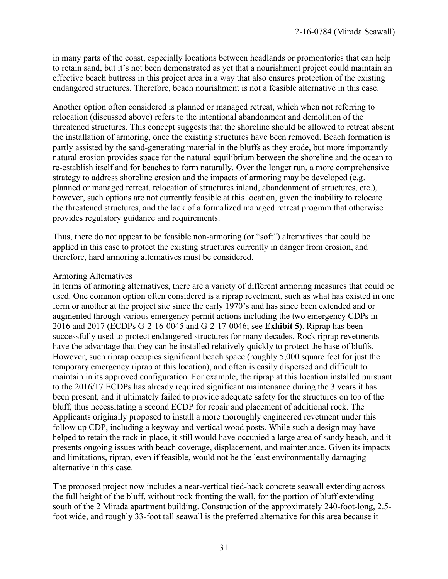in many parts of the coast, especially locations between headlands or promontories that can help to retain sand, but it's not been demonstrated as yet that a nourishment project could maintain an effective beach buttress in this project area in a way that also ensures protection of the existing endangered structures. Therefore, beach nourishment is not a feasible alternative in this case.

Another option often considered is planned or managed retreat, which when not referring to relocation (discussed above) refers to the intentional abandonment and demolition of the threatened structures. This concept suggests that the shoreline should be allowed to retreat absent the installation of armoring, once the existing structures have been removed. Beach formation is partly assisted by the sand-generating material in the bluffs as they erode, but more importantly natural erosion provides space for the natural equilibrium between the shoreline and the ocean to re-establish itself and for beaches to form naturally. Over the longer run, a more comprehensive strategy to address shoreline erosion and the impacts of armoring may be developed (e.g. planned or managed retreat, relocation of structures inland, abandonment of structures, etc.), however, such options are not currently feasible at this location, given the inability to relocate the threatened structures, and the lack of a formalized managed retreat program that otherwise provides regulatory guidance and requirements.

Thus, there do not appear to be feasible non-armoring (or "soft") alternatives that could be applied in this case to protect the existing structures currently in danger from erosion, and therefore, hard armoring alternatives must be considered.

#### Armoring Alternatives

In terms of armoring alternatives, there are a variety of different armoring measures that could be used. One common option often considered is a riprap revetment, such as what has existed in one form or another at the project site since the early 1970's and has since been extended and or augmented through various emergency permit actions including the two emergency CDPs in 2016 and 2017 (ECDPs G-2-16-0045 and G-2-17-0046; see **Exhibit 5**). Riprap has been successfully used to protect endangered structures for many decades. Rock riprap revetments have the advantage that they can be installed relatively quickly to protect the base of bluffs. However, such riprap occupies significant beach space (roughly 5,000 square feet for just the temporary emergency riprap at this location), and often is easily dispersed and difficult to maintain in its approved configuration. For example, the riprap at this location installed pursuant to the 2016/17 ECDPs has already required significant maintenance during the 3 years it has been present, and it ultimately failed to provide adequate safety for the structures on top of the bluff, thus necessitating a second ECDP for repair and placement of additional rock. The Applicants originally proposed to install a more thoroughly engineered revetment under this follow up CDP, including a keyway and vertical wood posts. While such a design may have helped to retain the rock in place, it still would have occupied a large area of sandy beach, and it presents ongoing issues with beach coverage, displacement, and maintenance. Given its impacts and limitations, riprap, even if feasible, would not be the least environmentally damaging alternative in this case.

The proposed project now includes a near-vertical tied-back concrete seawall extending across the full height of the bluff, without rock fronting the wall, for the portion of bluff extending south of the 2 Mirada apartment building. Construction of the approximately 240-foot-long, 2.5 foot wide, and roughly 33-foot tall seawall is the preferred alternative for this area because it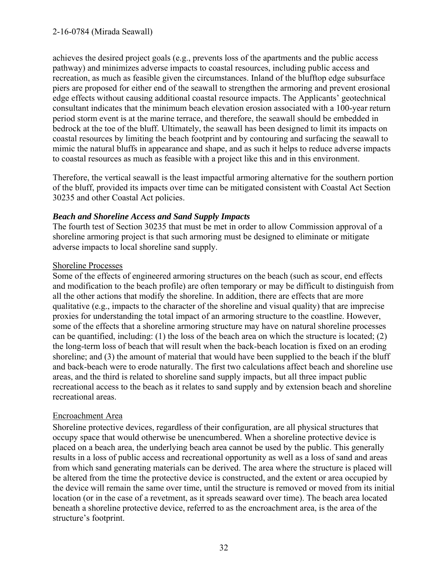achieves the desired project goals (e.g., prevents loss of the apartments and the public access pathway) and minimizes adverse impacts to coastal resources, including public access and recreation, as much as feasible given the circumstances. Inland of the blufftop edge subsurface piers are proposed for either end of the seawall to strengthen the armoring and prevent erosional edge effects without causing additional coastal resource impacts. The Applicants' geotechnical consultant indicates that the minimum beach elevation erosion associated with a 100-year return period storm event is at the marine terrace, and therefore, the seawall should be embedded in bedrock at the toe of the bluff. Ultimately, the seawall has been designed to limit its impacts on coastal resources by limiting the beach footprint and by contouring and surfacing the seawall to mimic the natural bluffs in appearance and shape, and as such it helps to reduce adverse impacts to coastal resources as much as feasible with a project like this and in this environment.

Therefore, the vertical seawall is the least impactful armoring alternative for the southern portion of the bluff, provided its impacts over time can be mitigated consistent with Coastal Act Section 30235 and other Coastal Act policies.

### *Beach and Shoreline Access and Sand Supply Impacts*

The fourth test of Section 30235 that must be met in order to allow Commission approval of a shoreline armoring project is that such armoring must be designed to eliminate or mitigate adverse impacts to local shoreline sand supply.

### Shoreline Processes

Some of the effects of engineered armoring structures on the beach (such as scour, end effects and modification to the beach profile) are often temporary or may be difficult to distinguish from all the other actions that modify the shoreline. In addition, there are effects that are more qualitative (e.g., impacts to the character of the shoreline and visual quality) that are imprecise proxies for understanding the total impact of an armoring structure to the coastline. However, some of the effects that a shoreline armoring structure may have on natural shoreline processes can be quantified, including: (1) the loss of the beach area on which the structure is located; (2) the long-term loss of beach that will result when the back-beach location is fixed on an eroding shoreline; and (3) the amount of material that would have been supplied to the beach if the bluff and back-beach were to erode naturally. The first two calculations affect beach and shoreline use areas, and the third is related to shoreline sand supply impacts, but all three impact public recreational access to the beach as it relates to sand supply and by extension beach and shoreline recreational areas.

### Encroachment Area

Shoreline protective devices, regardless of their configuration, are all physical structures that occupy space that would otherwise be unencumbered. When a shoreline protective device is placed on a beach area, the underlying beach area cannot be used by the public. This generally results in a loss of public access and recreational opportunity as well as a loss of sand and areas from which sand generating materials can be derived. The area where the structure is placed will be altered from the time the protective device is constructed, and the extent or area occupied by the device will remain the same over time, until the structure is removed or moved from its initial location (or in the case of a revetment, as it spreads seaward over time). The beach area located beneath a shoreline protective device, referred to as the encroachment area, is the area of the structure's footprint.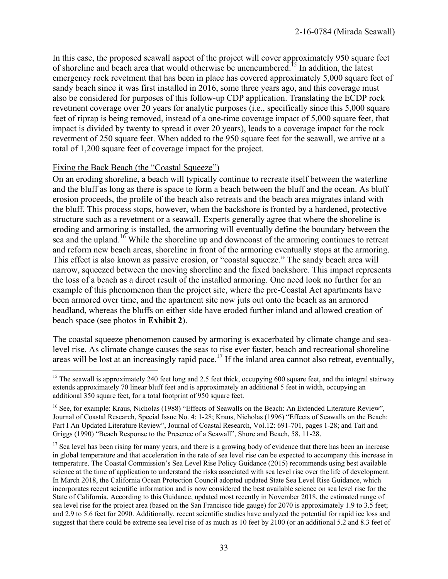In this case, the proposed seawall aspect of the project will cover approximately 950 square feet of shoreline and beach area that would otherwise be unencumbered.<sup>15</sup> In addition, the latest emergency rock revetment that has been in place has covered approximately 5,000 square feet of sandy beach since it was first installed in 2016, some three years ago, and this coverage must also be considered for purposes of this follow-up CDP application. Translating the ECDP rock revetment coverage over 20 years for analytic purposes (i.e., specifically since this 5,000 square feet of riprap is being removed, instead of a one-time coverage impact of 5,000 square feet, that impact is divided by twenty to spread it over 20 years), leads to a coverage impact for the rock revetment of 250 square feet. When added to the 950 square feet for the seawall, we arrive at a total of 1,200 square feet of coverage impact for the project.

#### Fixing the Back Beach (the "Coastal Squeeze")

On an eroding shoreline, a beach will typically continue to recreate itself between the waterline and the bluff as long as there is space to form a beach between the bluff and the ocean. As bluff erosion proceeds, the profile of the beach also retreats and the beach area migrates inland with the bluff. This process stops, however, when the backshore is fronted by a hardened, protective structure such as a revetment or a seawall. Experts generally agree that where the shoreline is eroding and armoring is installed, the armoring will eventually define the boundary between the sea and the upland.<sup>16</sup> While the shoreline up and downcoast of the armoring continues to retreat and reform new beach areas, shoreline in front of the armoring eventually stops at the armoring. This effect is also known as passive erosion, or "coastal squeeze." The sandy beach area will narrow, squeezed between the moving shoreline and the fixed backshore. This impact represents the loss of a beach as a direct result of the installed armoring. One need look no further for an example of this phenomenon than the project site, where the pre-Coastal Act apartments have been armored over time, and the apartment site now juts out onto the beach as an armored headland, whereas the bluffs on either side have eroded further inland and allowed creation of beach space (see photos in **Exhibit 2**).

The coastal squeeze phenomenon caused by armoring is exacerbated by climate change and sealevel rise. As climate change causes the seas to rise ever faster, beach and recreational shoreline areas will be lost at an increasingly rapid pace.<sup>17</sup> If the inland area cannot also retreat, eventually,

 $\overline{a}$ <sup>15</sup> The seawall is approximately 240 feet long and 2.5 feet thick, occupying 600 square feet, and the integral stairway extends approximately 70 linear bluff feet and is approximately an additional 5 feet in width, occupying an additional 350 square feet, for a total footprint of 950 square feet.

<sup>&</sup>lt;sup>16</sup> See, for example: Kraus, Nicholas (1988) "Effects of Seawalls on the Beach: An Extended Literature Review", Journal of Coastal Research, Special Issue No. 4: 1-28; Kraus, Nicholas (1996) "Effects of Seawalls on the Beach: Part I An Updated Literature Review", Journal of Coastal Research, Vol.12: 691-701, pages 1-28; and Tait and Griggs (1990) "Beach Response to the Presence of a Seawall", Shore and Beach, 58, 11-28.

 $17$  Sea level has been rising for many years, and there is a growing body of evidence that there has been an increase in global temperature and that acceleration in the rate of sea level rise can be expected to accompany this increase in temperature. The Coastal Commission's Sea Level Rise Policy Guidance (2015) recommends using best available science at the time of application to understand the risks associated with sea level rise over the life of development. In March 2018, the California Ocean Protection Council adopted updated State Sea Level Rise Guidance, which incorporates recent scientific information and is now considered the best available science on sea level rise for the State of California. According to this Guidance, updated most recently in November 2018, the estimated range of sea level rise for the project area (based on the San Francisco tide gauge) for 2070 is approximately 1.9 to 3.5 feet; and 2.9 to 5.6 feet for 2090. Additionally, recent scientific studies have analyzed the potential for rapid ice loss and suggest that there could be extreme sea level rise of as much as 10 feet by 2100 (or an additional 5.2 and 8.3 feet of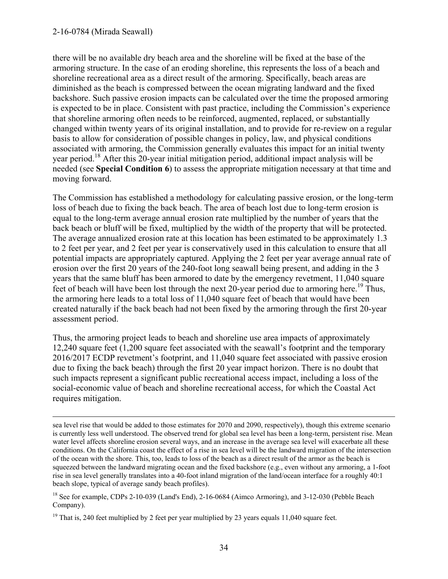#### 2-16-0784 (Mirada Seawall)

 $\overline{a}$ 

there will be no available dry beach area and the shoreline will be fixed at the base of the armoring structure. In the case of an eroding shoreline, this represents the loss of a beach and shoreline recreational area as a direct result of the armoring. Specifically, beach areas are diminished as the beach is compressed between the ocean migrating landward and the fixed backshore. Such passive erosion impacts can be calculated over the time the proposed armoring is expected to be in place. Consistent with past practice, including the Commission's experience that shoreline armoring often needs to be reinforced, augmented, replaced, or substantially changed within twenty years of its original installation, and to provide for re-review on a regular basis to allow for consideration of possible changes in policy, law, and physical conditions associated with armoring, the Commission generally evaluates this impact for an initial twenty year period.<sup>18</sup> After this 20-year initial mitigation period, additional impact analysis will be needed (see **Special Condition 6**) to assess the appropriate mitigation necessary at that time and moving forward.

The Commission has established a methodology for calculating passive erosion, or the long-term loss of beach due to fixing the back beach. The area of beach lost due to long-term erosion is equal to the long-term average annual erosion rate multiplied by the number of years that the back beach or bluff will be fixed, multiplied by the width of the property that will be protected. The average annualized erosion rate at this location has been estimated to be approximately 1.3 to 2 feet per year, and 2 feet per year is conservatively used in this calculation to ensure that all potential impacts are appropriately captured. Applying the 2 feet per year average annual rate of erosion over the first 20 years of the 240-foot long seawall being present, and adding in the 3 years that the same bluff has been armored to date by the emergency revetment, 11,040 square feet of beach will have been lost through the next 20-year period due to armoring here.<sup>19</sup> Thus, the armoring here leads to a total loss of 11,040 square feet of beach that would have been created naturally if the back beach had not been fixed by the armoring through the first 20-year assessment period.

Thus, the armoring project leads to beach and shoreline use area impacts of approximately 12,240 square feet (1,200 square feet associated with the seawall's footprint and the temporary 2016/2017 ECDP revetment's footprint, and 11,040 square feet associated with passive erosion due to fixing the back beach) through the first 20 year impact horizon. There is no doubt that such impacts represent a significant public recreational access impact, including a loss of the social-economic value of beach and shoreline recreational access, for which the Coastal Act requires mitigation.

sea level rise that would be added to those estimates for 2070 and 2090, respectively), though this extreme scenario is currently less well understood. The observed trend for global sea level has been a long-term, persistent rise. Mean water level affects shoreline erosion several ways, and an increase in the average sea level will exacerbate all these conditions. On the California coast the effect of a rise in sea level will be the landward migration of the intersection of the ocean with the shore. This, too, leads to loss of the beach as a direct result of the armor as the beach is squeezed between the landward migrating ocean and the fixed backshore (e.g., even without any armoring, a 1-foot rise in sea level generally translates into a 40-foot inland migration of the land/ocean interface for a roughly 40:1 beach slope, typical of average sandy beach profiles).

<sup>&</sup>lt;sup>18</sup> See for example, CDPs 2-10-039 (Land's End), 2-16-0684 (Aimco Armoring), and 3-12-030 (Pebble Beach Company).

<sup>&</sup>lt;sup>19</sup> That is, 240 feet multiplied by 2 feet per year multiplied by 23 years equals 11,040 square feet.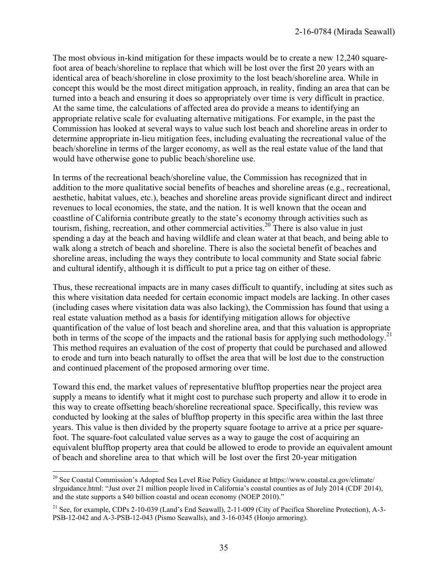The most obvious in-kind mitigation for these impacts would be to create a new 12,240 squarefoot area of beach/shoreline to replace that which will be lost over the first 20 years with an identical area of beach/shoreline in close proximity to the lost beach/shoreline area. While in concept this would be the most direct mitigation approach, in reality, finding an area that can be turned into a beach and ensuring it does so appropriately over time is very difficult in practice. At the same time, the calculations of affected area do provide a means to identifying an appropriate relative scale for evaluating alternative mitigations. For example, in the past the Commission has looked at several ways to value such lost beach and shoreline areas in order to determine appropriate in-lieu mitigation fees, including evaluating the recreational value of the beach/shoreline in terms of the larger economy, as well as the real estate value of the land that would have otherwise gone to public beach/shoreline use.

In terms of the recreational beach/shoreline value, the Commission has recognized that in addition to the more qualitative social benefits of beaches and shoreline areas (e.g., recreational, aesthetic, habitat values, etc.), beaches and shoreline areas provide significant direct and indirect revenues to local economies, the state, and the nation. It is well known that the ocean and coastline of California contribute greatly to the state's economy through activities such as tourism, fishing, recreation, and other commercial activities.<sup>20</sup> There is also value in just spending a day at the beach and having wildlife and clean water at that beach, and being able to walk along a stretch of beach and shoreline. There is also the societal benefit of beaches and shoreline areas, including the ways they contribute to local community and State social fabric and cultural identify, although it is difficult to put a price tag on either of these.

Thus, these recreational impacts are in many cases difficult to quantify, including at sites such as this where visitation data needed for certain economic impact models are lacking. In other cases (including cases where visitation data was also lacking), the Commission has found that using a real estate valuation method as a basis for identifying mitigation allows for objective quantification of the value of lost beach and shoreline area, and that this valuation is appropriate both in terms of the scope of the impacts and the rational basis for applying such methodology.<sup>21</sup> This method requires an evaluation of the cost of property that could be purchased and allowed to erode and turn into beach naturally to offset the area that will be lost due to the construction and continued placement of the proposed armoring over time.

Toward this end, the market values of representative blufftop properties near the project area supply a means to identify what it might cost to purchase such property and allow it to erode in this way to create offsetting beach/shoreline recreational space. Specifically, this review was conducted by looking at the sales of blufftop property in this specific area within the last three years. This value is then divided by the property square footage to arrive at a price per squarefoot. The square-foot calculated value serves as a way to gauge the cost of acquiring an equivalent blufftop property area that could be allowed to erode to provide an equivalent amount of beach and shoreline area to that which will be lost over the first 20-year mitigation

 $\overline{a}$ 

<sup>&</sup>lt;sup>20</sup> See Coastal Commission's Adopted Sea Level Rise Policy Guidance at https://www.coastal.ca.gov/climate/ slrguidance.html: "Just over 21 million people lived in California's coastal counties as of July 2014 (CDF 2014), and the state supports a \$40 billion coastal and ocean economy (NOEP 2010)."

<sup>&</sup>lt;sup>21</sup> See, for example, CDPs 2-10-039 (Land's End Seawall), 2-11-009 (City of Pacifica Shoreline Protection), A-3-PSB-12-042 and A-3-PSB-12-043 (Pismo Seawalls), and 3-16-0345 (Honjo armoring).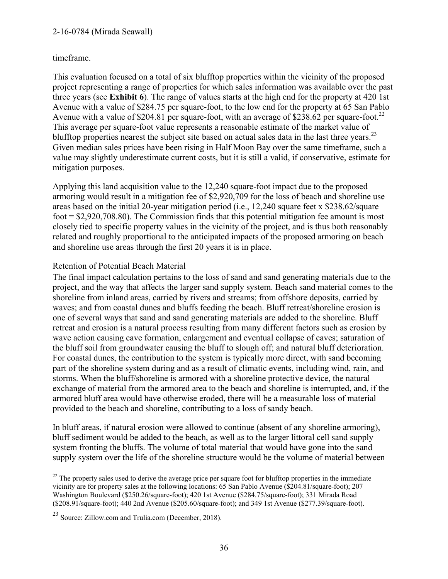#### 2-16-0784 (Mirada Seawall)

#### timeframe.

This evaluation focused on a total of six blufftop properties within the vicinity of the proposed project representing a range of properties for which sales information was available over the past three years (see **Exhibit 6**). The range of values starts at the high end for the property at 420 1st Avenue with a value of \$284.75 per square-foot, to the low end for the property at 65 San Pablo Avenue with a value of \$204.81 per square-foot, with an average of \$238.62 per square-foot.<sup>22</sup> This average per square-foot value represents a reasonable estimate of the market value of blufftop properties nearest the subject site based on actual sales data in the last three years.<sup>23</sup> Given median sales prices have been rising in Half Moon Bay over the same timeframe, such a value may slightly underestimate current costs, but it is still a valid, if conservative, estimate for mitigation purposes.

Applying this land acquisition value to the 12,240 square-foot impact due to the proposed armoring would result in a mitigation fee of \$2,920,709 for the loss of beach and shoreline use areas based on the initial 20-year mitigation period (i.e., 12,240 square feet x \$238.62/square foot  $= $2,920,708.80$ . The Commission finds that this potential mitigation fee amount is most closely tied to specific property values in the vicinity of the project, and is thus both reasonably related and roughly proportional to the anticipated impacts of the proposed armoring on beach and shoreline use areas through the first 20 years it is in place.

#### Retention of Potential Beach Material

The final impact calculation pertains to the loss of sand and sand generating materials due to the project, and the way that affects the larger sand supply system. Beach sand material comes to the shoreline from inland areas, carried by rivers and streams; from offshore deposits, carried by waves; and from coastal dunes and bluffs feeding the beach. Bluff retreat/shoreline erosion is one of several ways that sand and sand generating materials are added to the shoreline. Bluff retreat and erosion is a natural process resulting from many different factors such as erosion by wave action causing cave formation, enlargement and eventual collapse of caves; saturation of the bluff soil from groundwater causing the bluff to slough off; and natural bluff deterioration. For coastal dunes, the contribution to the system is typically more direct, with sand becoming part of the shoreline system during and as a result of climatic events, including wind, rain, and storms. When the bluff/shoreline is armored with a shoreline protective device, the natural exchange of material from the armored area to the beach and shoreline is interrupted, and, if the armored bluff area would have otherwise eroded, there will be a measurable loss of material provided to the beach and shoreline, contributing to a loss of sandy beach.

In bluff areas, if natural erosion were allowed to continue (absent of any shoreline armoring), bluff sediment would be added to the beach, as well as to the larger littoral cell sand supply system fronting the bluffs. The volume of total material that would have gone into the sand supply system over the life of the shoreline structure would be the volume of material between

 $\overline{a}$  $22$  The property sales used to derive the average price per square foot for blufftop properties in the immediate vicinity are for property sales at the following locations: 65 San Pablo Avenue (\$204.81/square-foot); 207 Washington Boulevard (\$250.26/square-foot); 420 1st Avenue (\$284.75/square-foot); 331 Mirada Road (\$208.91/square-foot); 440 2nd Avenue (\$205.60/square-foot); and 349 1st Avenue (\$277.39/square-foot).

<sup>23</sup> Source: Zillow.com and Trulia.com (December, 2018).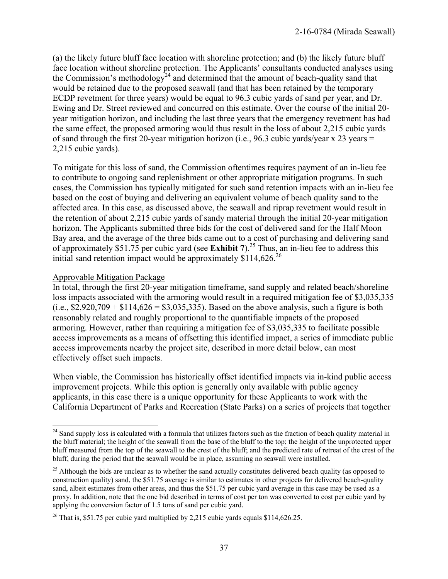(a) the likely future bluff face location with shoreline protection; and (b) the likely future bluff face location without shoreline protection. The Applicants' consultants conducted analyses using the Commission's methodology<sup>24</sup> and determined that the amount of beach-quality sand that would be retained due to the proposed seawall (and that has been retained by the temporary ECDP revetment for three years) would be equal to 96.3 cubic yards of sand per year, and Dr. Ewing and Dr. Street reviewed and concurred on this estimate. Over the course of the initial 20 year mitigation horizon, and including the last three years that the emergency revetment has had the same effect, the proposed armoring would thus result in the loss of about 2,215 cubic yards of sand through the first 20-year mitigation horizon (i.e., 96.3 cubic yards/year x 23 years  $=$ 2,215 cubic yards).

To mitigate for this loss of sand, the Commission oftentimes requires payment of an in-lieu fee to contribute to ongoing sand replenishment or other appropriate mitigation programs. In such cases, the Commission has typically mitigated for such sand retention impacts with an in-lieu fee based on the cost of buying and delivering an equivalent volume of beach quality sand to the affected area. In this case, as discussed above, the seawall and riprap revetment would result in the retention of about 2,215 cubic yards of sandy material through the initial 20-year mitigation horizon. The Applicants submitted three bids for the cost of delivered sand for the Half Moon Bay area, and the average of the three bids came out to a cost of purchasing and delivering sand of approximately \$51.75 per cubic yard (see **Exhibit 7**).<sup>25</sup> Thus, an in-lieu fee to address this initial sand retention impact would be approximately  $\frac{$1,626.26}{0}$ 

#### Approvable Mitigation Package

In total, through the first 20-year mitigation timeframe, sand supply and related beach/shoreline loss impacts associated with the armoring would result in a required mitigation fee of \$3,035,335  $(i.e., $2,920,709 + $114,626 = $3,035,335)$ . Based on the above analysis, such a figure is both reasonably related and roughly proportional to the quantifiable impacts of the proposed armoring. However, rather than requiring a mitigation fee of \$3,035,335 to facilitate possible access improvements as a means of offsetting this identified impact, a series of immediate public access improvements nearby the project site, described in more detail below, can most effectively offset such impacts.

When viable, the Commission has historically offset identified impacts via in-kind public access improvement projects. While this option is generally only available with public agency applicants, in this case there is a unique opportunity for these Applicants to work with the California Department of Parks and Recreation (State Parks) on a series of projects that together

 $\overline{a}$ <sup>24</sup> Sand supply loss is calculated with a formula that utilizes factors such as the fraction of beach quality material in the bluff material; the height of the seawall from the base of the bluff to the top; the height of the unprotected upper bluff measured from the top of the seawall to the crest of the bluff; and the predicted rate of retreat of the crest of the bluff, during the period that the seawall would be in place, assuming no seawall were installed.

<sup>&</sup>lt;sup>25</sup> Although the bids are unclear as to whether the sand actually constitutes delivered beach quality (as opposed to construction quality) sand, the \$51.75 average is similar to estimates in other projects for delivered beach-quality sand, albeit estimates from other areas, and thus the \$51.75 per cubic yard average in this case may be used as a proxy. In addition, note that the one bid described in terms of cost per ton was converted to cost per cubic yard by applying the conversion factor of 1.5 tons of sand per cubic yard.

<sup>&</sup>lt;sup>26</sup> That is, \$51.75 per cubic yard multiplied by 2,215 cubic yards equals  $$114,626.25$ .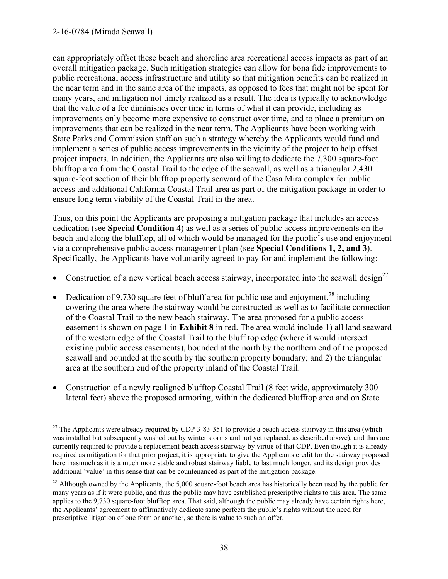can appropriately offset these beach and shoreline area recreational access impacts as part of an overall mitigation package. Such mitigation strategies can allow for bona fide improvements to public recreational access infrastructure and utility so that mitigation benefits can be realized in the near term and in the same area of the impacts, as opposed to fees that might not be spent for many years, and mitigation not timely realized as a result. The idea is typically to acknowledge that the value of a fee diminishes over time in terms of what it can provide, including as improvements only become more expensive to construct over time, and to place a premium on improvements that can be realized in the near term. The Applicants have been working with State Parks and Commission staff on such a strategy whereby the Applicants would fund and implement a series of public access improvements in the vicinity of the project to help offset project impacts. In addition, the Applicants are also willing to dedicate the 7,300 square-foot blufftop area from the Coastal Trail to the edge of the seawall, as well as a triangular 2,430 square-foot section of their blufftop property seaward of the Casa Mira complex for public access and additional California Coastal Trail area as part of the mitigation package in order to ensure long term viability of the Coastal Trail in the area.

Thus, on this point the Applicants are proposing a mitigation package that includes an access dedication (see **Special Condition 4**) as well as a series of public access improvements on the beach and along the blufftop, all of which would be managed for the public's use and enjoyment via a comprehensive public access management plan (see **Special Conditions 1, 2, and 3**). Specifically, the Applicants have voluntarily agreed to pay for and implement the following:

- Construction of a new vertical beach access stairway, incorporated into the seawall design<sup>27</sup>
- Dedication of 9,730 square feet of bluff area for public use and enjoyment,  $28$  including covering the area where the stairway would be constructed as well as to facilitate connection of the Coastal Trail to the new beach stairway. The area proposed for a public access easement is shown on page 1 in **Exhibit 8** in red. The area would include 1) all land seaward of the western edge of the Coastal Trail to the bluff top edge (where it would intersect existing public access easements), bounded at the north by the northern end of the proposed seawall and bounded at the south by the southern property boundary; and 2) the triangular area at the southern end of the property inland of the Coastal Trail.
- Construction of a newly realigned blufftop Coastal Trail (8 feet wide, approximately 300 lateral feet) above the proposed armoring, within the dedicated blufftop area and on State

 $\overline{a}$  $27$  The Applicants were already required by CDP 3-83-351 to provide a beach access stairway in this area (which was installed but subsequently washed out by winter storms and not yet replaced, as described above), and thus are currently required to provide a replacement beach access stairway by virtue of that CDP. Even though it is already required as mitigation for that prior project, it is appropriate to give the Applicants credit for the stairway proposed here inasmuch as it is a much more stable and robust stairway liable to last much longer, and its design provides additional 'value' in this sense that can be countenanced as part of the mitigation package.

 $^{28}$  Although owned by the Applicants, the 5,000 square-foot beach area has historically been used by the public for many years as if it were public, and thus the public may have established prescriptive rights to this area. The same applies to the 9,730 square-foot blufftop area. That said, although the public may already have certain rights here, the Applicants' agreement to affirmatively dedicate same perfects the public's rights without the need for prescriptive litigation of one form or another, so there is value to such an offer.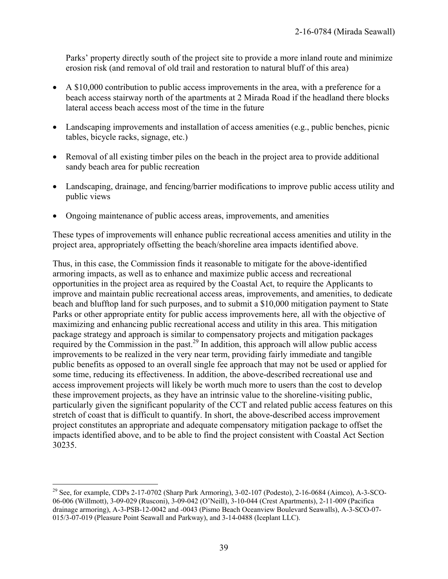Parks' property directly south of the project site to provide a more inland route and minimize erosion risk (and removal of old trail and restoration to natural bluff of this area)

- A \$10,000 contribution to public access improvements in the area, with a preference for a beach access stairway north of the apartments at 2 Mirada Road if the headland there blocks lateral access beach access most of the time in the future
- Landscaping improvements and installation of access amenities (e.g., public benches, picnic tables, bicycle racks, signage, etc.)
- Removal of all existing timber piles on the beach in the project area to provide additional sandy beach area for public recreation
- Landscaping, drainage, and fencing/barrier modifications to improve public access utility and public views
- Ongoing maintenance of public access areas, improvements, and amenities

These types of improvements will enhance public recreational access amenities and utility in the project area, appropriately offsetting the beach/shoreline area impacts identified above.

Thus, in this case, the Commission finds it reasonable to mitigate for the above-identified armoring impacts, as well as to enhance and maximize public access and recreational opportunities in the project area as required by the Coastal Act, to require the Applicants to improve and maintain public recreational access areas, improvements, and amenities, to dedicate beach and blufftop land for such purposes, and to submit a \$10,000 mitigation payment to State Parks or other appropriate entity for public access improvements here, all with the objective of maximizing and enhancing public recreational access and utility in this area. This mitigation package strategy and approach is similar to compensatory projects and mitigation packages required by the Commission in the past.<sup>29</sup> In addition, this approach will allow public access improvements to be realized in the very near term, providing fairly immediate and tangible public benefits as opposed to an overall single fee approach that may not be used or applied for some time, reducing its effectiveness. In addition, the above-described recreational use and access improvement projects will likely be worth much more to users than the cost to develop these improvement projects, as they have an intrinsic value to the shoreline-visiting public, particularly given the significant popularity of the CCT and related public access features on this stretch of coast that is difficult to quantify. In short, the above-described access improvement project constitutes an appropriate and adequate compensatory mitigation package to offset the impacts identified above, and to be able to find the project consistent with Coastal Act Section 30235.

 $\overline{a}$ 

<sup>&</sup>lt;sup>29</sup> See, for example, CDPs 2-17-0702 (Sharp Park Armoring), 3-02-107 (Podesto), 2-16-0684 (Aimco), A-3-SCO-06-006 (Willmott), 3-09-029 (Rusconi), 3-09-042 (O'Neill), 3-10-044 (Crest Apartments), 2-11-009 (Pacifica drainage armoring), A-3-PSB-12-0042 and -0043 (Pismo Beach Oceanview Boulevard Seawalls), A-3-SCO-07- 015/3-07-019 (Pleasure Point Seawall and Parkway), and 3-14-0488 (Iceplant LLC).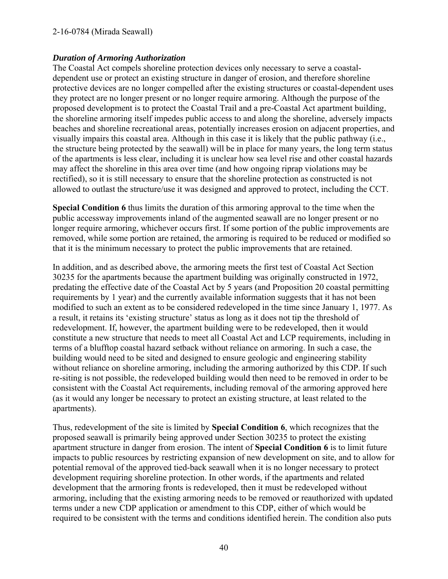#### 2-16-0784 (Mirada Seawall)

#### *Duration of Armoring Authorization*

The Coastal Act compels shoreline protection devices only necessary to serve a coastaldependent use or protect an existing structure in danger of erosion, and therefore shoreline protective devices are no longer compelled after the existing structures or coastal-dependent uses they protect are no longer present or no longer require armoring. Although the purpose of the proposed development is to protect the Coastal Trail and a pre-Coastal Act apartment building, the shoreline armoring itself impedes public access to and along the shoreline, adversely impacts beaches and shoreline recreational areas, potentially increases erosion on adjacent properties, and visually impairs this coastal area. Although in this case it is likely that the public pathway (i.e., the structure being protected by the seawall) will be in place for many years, the long term status of the apartments is less clear, including it is unclear how sea level rise and other coastal hazards may affect the shoreline in this area over time (and how ongoing riprap violations may be rectified), so it is still necessary to ensure that the shoreline protection as constructed is not allowed to outlast the structure/use it was designed and approved to protect, including the CCT.

**Special Condition 6** thus limits the duration of this armoring approval to the time when the public accessway improvements inland of the augmented seawall are no longer present or no longer require armoring, whichever occurs first. If some portion of the public improvements are removed, while some portion are retained, the armoring is required to be reduced or modified so that it is the minimum necessary to protect the public improvements that are retained.

In addition, and as described above, the armoring meets the first test of Coastal Act Section 30235 for the apartments because the apartment building was originally constructed in 1972, predating the effective date of the Coastal Act by 5 years (and Proposition 20 coastal permitting requirements by 1 year) and the currently available information suggests that it has not been modified to such an extent as to be considered redeveloped in the time since January 1, 1977. As a result, it retains its 'existing structure' status as long as it does not tip the threshold of redevelopment. If, however, the apartment building were to be redeveloped, then it would constitute a new structure that needs to meet all Coastal Act and LCP requirements, including in terms of a blufftop coastal hazard setback without reliance on armoring. In such a case, the building would need to be sited and designed to ensure geologic and engineering stability without reliance on shoreline armoring, including the armoring authorized by this CDP. If such re-siting is not possible, the redeveloped building would then need to be removed in order to be consistent with the Coastal Act requirements, including removal of the armoring approved here (as it would any longer be necessary to protect an existing structure, at least related to the apartments).

Thus, redevelopment of the site is limited by **Special Condition 6**, which recognizes that the proposed seawall is primarily being approved under Section 30235 to protect the existing apartment structure in danger from erosion. The intent of **Special Condition 6** is to limit future impacts to public resources by restricting expansion of new development on site, and to allow for potential removal of the approved tied-back seawall when it is no longer necessary to protect development requiring shoreline protection. In other words, if the apartments and related development that the armoring fronts is redeveloped, then it must be redeveloped without armoring, including that the existing armoring needs to be removed or reauthorized with updated terms under a new CDP application or amendment to this CDP, either of which would be required to be consistent with the terms and conditions identified herein. The condition also puts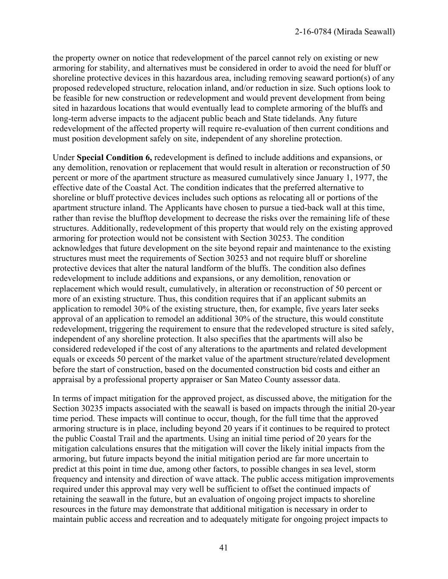the property owner on notice that redevelopment of the parcel cannot rely on existing or new armoring for stability, and alternatives must be considered in order to avoid the need for bluff or shoreline protective devices in this hazardous area, including removing seaward portion(s) of any proposed redeveloped structure, relocation inland, and/or reduction in size. Such options look to be feasible for new construction or redevelopment and would prevent development from being sited in hazardous locations that would eventually lead to complete armoring of the bluffs and long-term adverse impacts to the adjacent public beach and State tidelands. Any future redevelopment of the affected property will require re-evaluation of then current conditions and must position development safely on site, independent of any shoreline protection.

Under **Special Condition 6,** redevelopment is defined to include additions and expansions, or any demolition, renovation or replacement that would result in alteration or reconstruction of 50 percent or more of the apartment structure as measured cumulatively since January 1, 1977, the effective date of the Coastal Act. The condition indicates that the preferred alternative to shoreline or bluff protective devices includes such options as relocating all or portions of the apartment structure inland. The Applicants have chosen to pursue a tied-back wall at this time, rather than revise the blufftop development to decrease the risks over the remaining life of these structures. Additionally, redevelopment of this property that would rely on the existing approved armoring for protection would not be consistent with Section 30253. The condition acknowledges that future development on the site beyond repair and maintenance to the existing structures must meet the requirements of Section 30253 and not require bluff or shoreline protective devices that alter the natural landform of the bluffs. The condition also defines redevelopment to include additions and expansions, or any demolition, renovation or replacement which would result, cumulatively, in alteration or reconstruction of 50 percent or more of an existing structure. Thus, this condition requires that if an applicant submits an application to remodel 30% of the existing structure, then, for example, five years later seeks approval of an application to remodel an additional 30% of the structure, this would constitute redevelopment, triggering the requirement to ensure that the redeveloped structure is sited safely, independent of any shoreline protection. It also specifies that the apartments will also be considered redeveloped if the cost of any alterations to the apartments and related development equals or exceeds 50 percent of the market value of the apartment structure/related development before the start of construction, based on the documented construction bid costs and either an appraisal by a professional property appraiser or San Mateo County assessor data.

In terms of impact mitigation for the approved project, as discussed above, the mitigation for the Section 30235 impacts associated with the seawall is based on impacts through the initial 20-year time period. These impacts will continue to occur, though, for the full time that the approved armoring structure is in place, including beyond 20 years if it continues to be required to protect the public Coastal Trail and the apartments. Using an initial time period of 20 years for the mitigation calculations ensures that the mitigation will cover the likely initial impacts from the armoring, but future impacts beyond the initial mitigation period are far more uncertain to predict at this point in time due, among other factors, to possible changes in sea level, storm frequency and intensity and direction of wave attack. The public access mitigation improvements required under this approval may very well be sufficient to offset the continued impacts of retaining the seawall in the future, but an evaluation of ongoing project impacts to shoreline resources in the future may demonstrate that additional mitigation is necessary in order to maintain public access and recreation and to adequately mitigate for ongoing project impacts to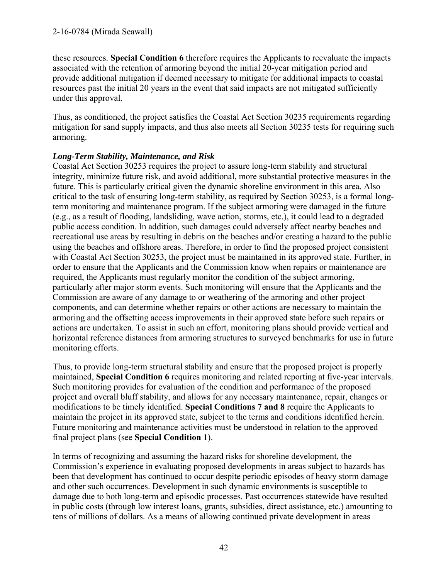these resources. **Special Condition 6** therefore requires the Applicants to reevaluate the impacts associated with the retention of armoring beyond the initial 20-year mitigation period and provide additional mitigation if deemed necessary to mitigate for additional impacts to coastal resources past the initial 20 years in the event that said impacts are not mitigated sufficiently under this approval.

Thus, as conditioned, the project satisfies the Coastal Act Section 30235 requirements regarding mitigation for sand supply impacts, and thus also meets all Section 30235 tests for requiring such armoring.

#### *Long-Term Stability, Maintenance, and Risk*

Coastal Act Section 30253 requires the project to assure long-term stability and structural integrity, minimize future risk, and avoid additional, more substantial protective measures in the future. This is particularly critical given the dynamic shoreline environment in this area. Also critical to the task of ensuring long-term stability, as required by Section 30253, is a formal longterm monitoring and maintenance program. If the subject armoring were damaged in the future (e.g., as a result of flooding, landsliding, wave action, storms, etc.), it could lead to a degraded public access condition. In addition, such damages could adversely affect nearby beaches and recreational use areas by resulting in debris on the beaches and/or creating a hazard to the public using the beaches and offshore areas. Therefore, in order to find the proposed project consistent with Coastal Act Section 30253, the project must be maintained in its approved state. Further, in order to ensure that the Applicants and the Commission know when repairs or maintenance are required, the Applicants must regularly monitor the condition of the subject armoring, particularly after major storm events. Such monitoring will ensure that the Applicants and the Commission are aware of any damage to or weathering of the armoring and other project components, and can determine whether repairs or other actions are necessary to maintain the armoring and the offsetting access improvements in their approved state before such repairs or actions are undertaken. To assist in such an effort, monitoring plans should provide vertical and horizontal reference distances from armoring structures to surveyed benchmarks for use in future monitoring efforts.

Thus, to provide long-term structural stability and ensure that the proposed project is properly maintained, **Special Condition 6** requires monitoring and related reporting at five-year intervals. Such monitoring provides for evaluation of the condition and performance of the proposed project and overall bluff stability, and allows for any necessary maintenance, repair, changes or modifications to be timely identified. **Special Conditions 7 and 8** require the Applicants to maintain the project in its approved state, subject to the terms and conditions identified herein. Future monitoring and maintenance activities must be understood in relation to the approved final project plans (see **Special Condition 1**).

In terms of recognizing and assuming the hazard risks for shoreline development, the Commission's experience in evaluating proposed developments in areas subject to hazards has been that development has continued to occur despite periodic episodes of heavy storm damage and other such occurrences. Development in such dynamic environments is susceptible to damage due to both long-term and episodic processes. Past occurrences statewide have resulted in public costs (through low interest loans, grants, subsidies, direct assistance, etc.) amounting to tens of millions of dollars. As a means of allowing continued private development in areas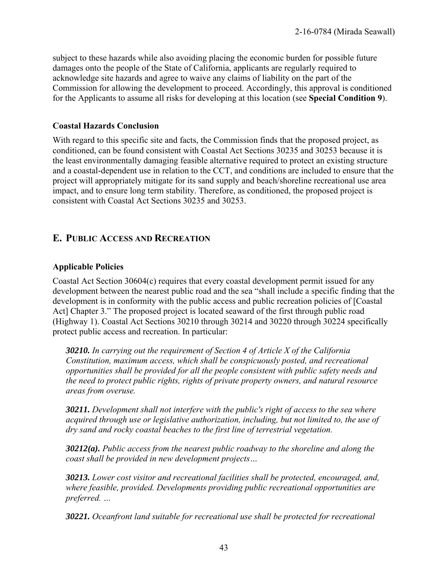subject to these hazards while also avoiding placing the economic burden for possible future damages onto the people of the State of California, applicants are regularly required to acknowledge site hazards and agree to waive any claims of liability on the part of the Commission for allowing the development to proceed. Accordingly, this approval is conditioned for the Applicants to assume all risks for developing at this location (see **Special Condition 9**).

#### **Coastal Hazards Conclusion**

With regard to this specific site and facts, the Commission finds that the proposed project, as conditioned, can be found consistent with Coastal Act Sections 30235 and 30253 because it is the least environmentally damaging feasible alternative required to protect an existing structure and a coastal-dependent use in relation to the CCT, and conditions are included to ensure that the project will appropriately mitigate for its sand supply and beach/shoreline recreational use area impact, and to ensure long term stability. Therefore, as conditioned, the proposed project is consistent with Coastal Act Sections 30235 and 30253.

# **E. PUBLIC ACCESS AND RECREATION**

### **Applicable Policies**

Coastal Act Section 30604(c) requires that every coastal development permit issued for any development between the nearest public road and the sea "shall include a specific finding that the development is in conformity with the public access and public recreation policies of [Coastal Act] Chapter 3." The proposed project is located seaward of the first through public road (Highway 1). Coastal Act Sections 30210 through 30214 and 30220 through 30224 specifically protect public access and recreation. In particular:

*30210. In carrying out the requirement of Section 4 of Article X of the California Constitution, maximum access, which shall be conspicuously posted, and recreational opportunities shall be provided for all the people consistent with public safety needs and the need to protect public rights, rights of private property owners, and natural resource areas from overuse.* 

*30211. Development shall not interfere with the public's right of access to the sea where acquired through use or legislative authorization, including, but not limited to, the use of dry sand and rocky coastal beaches to the first line of terrestrial vegetation.* 

*30212(a). Public access from the nearest public roadway to the shoreline and along the coast shall be provided in new development projects…* 

*30213. Lower cost visitor and recreational facilities shall be protected, encouraged, and, where feasible, provided. Developments providing public recreational opportunities are preferred. …* 

*30221. Oceanfront land suitable for recreational use shall be protected for recreational*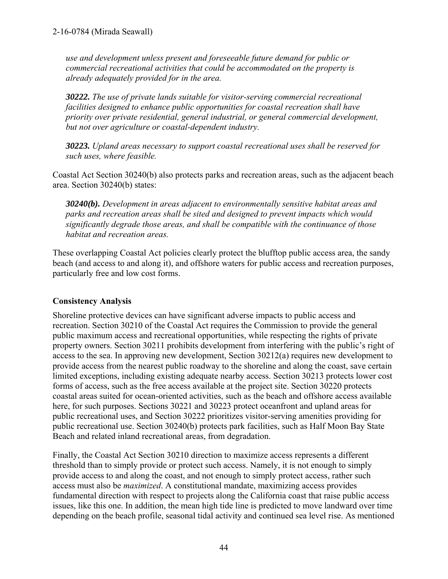*use and development unless present and foreseeable future demand for public or commercial recreational activities that could be accommodated on the property is already adequately provided for in the area.* 

*30222. The use of private lands suitable for visitor-serving commercial recreational facilities designed to enhance public opportunities for coastal recreation shall have priority over private residential, general industrial, or general commercial development, but not over agriculture or coastal-dependent industry.*

*30223. Upland areas necessary to support coastal recreational uses shall be reserved for such uses, where feasible.* 

Coastal Act Section 30240(b) also protects parks and recreation areas, such as the adjacent beach area. Section 30240(b) states:

*30240(b). Development in areas adjacent to environmentally sensitive habitat areas and parks and recreation areas shall be sited and designed to prevent impacts which would significantly degrade those areas, and shall be compatible with the continuance of those habitat and recreation areas.* 

These overlapping Coastal Act policies clearly protect the blufftop public access area, the sandy beach (and access to and along it), and offshore waters for public access and recreation purposes, particularly free and low cost forms.

### **Consistency Analysis**

Shoreline protective devices can have significant adverse impacts to public access and recreation. Section 30210 of the Coastal Act requires the Commission to provide the general public maximum access and recreational opportunities, while respecting the rights of private property owners. Section 30211 prohibits development from interfering with the public's right of access to the sea. In approving new development, Section 30212(a) requires new development to provide access from the nearest public roadway to the shoreline and along the coast, save certain limited exceptions, including existing adequate nearby access. Section 30213 protects lower cost forms of access, such as the free access available at the project site. Section 30220 protects coastal areas suited for ocean-oriented activities, such as the beach and offshore access available here, for such purposes. Sections 30221 and 30223 protect oceanfront and upland areas for public recreational uses, and Section 30222 prioritizes visitor-serving amenities providing for public recreational use. Section 30240(b) protects park facilities, such as Half Moon Bay State Beach and related inland recreational areas, from degradation.

Finally, the Coastal Act Section 30210 direction to maximize access represents a different threshold than to simply provide or protect such access. Namely, it is not enough to simply provide access to and along the coast, and not enough to simply protect access, rather such access must also be *maximized*. A constitutional mandate, maximizing access provides fundamental direction with respect to projects along the California coast that raise public access issues, like this one. In addition, the mean high tide line is predicted to move landward over time depending on the beach profile, seasonal tidal activity and continued sea level rise. As mentioned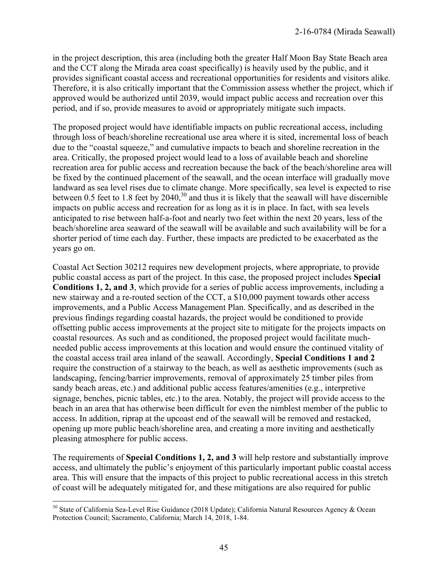in the project description, this area (including both the greater Half Moon Bay State Beach area and the CCT along the Mirada area coast specifically) is heavily used by the public, and it provides significant coastal access and recreational opportunities for residents and visitors alike. Therefore, it is also critically important that the Commission assess whether the project, which if approved would be authorized until 2039, would impact public access and recreation over this period, and if so, provide measures to avoid or appropriately mitigate such impacts.

The proposed project would have identifiable impacts on public recreational access, including through loss of beach/shoreline recreational use area where it is sited, incremental loss of beach due to the "coastal squeeze," and cumulative impacts to beach and shoreline recreation in the area. Critically, the proposed project would lead to a loss of available beach and shoreline recreation area for public access and recreation because the back of the beach/shoreline area will be fixed by the continued placement of the seawall, and the ocean interface will gradually move landward as sea level rises due to climate change. More specifically, sea level is expected to rise between 0.5 feet to 1.8 feet by  $2040<sup>30</sup>$  and thus it is likely that the seawall will have discernible impacts on public access and recreation for as long as it is in place. In fact, with sea levels anticipated to rise between half-a-foot and nearly two feet within the next 20 years, less of the beach/shoreline area seaward of the seawall will be available and such availability will be for a shorter period of time each day. Further, these impacts are predicted to be exacerbated as the years go on.

Coastal Act Section 30212 requires new development projects, where appropriate, to provide public coastal access as part of the project. In this case, the proposed project includes **Special Conditions 1, 2, and 3**, which provide for a series of public access improvements, including a new stairway and a re-routed section of the CCT, a \$10,000 payment towards other access improvements, and a Public Access Management Plan. Specifically, and as described in the previous findings regarding coastal hazards, the project would be conditioned to provide offsetting public access improvements at the project site to mitigate for the projects impacts on coastal resources. As such and as conditioned, the proposed project would facilitate muchneeded public access improvements at this location and would ensure the continued vitality of the coastal access trail area inland of the seawall. Accordingly, **Special Conditions 1 and 2** require the construction of a stairway to the beach, as well as aesthetic improvements (such as landscaping, fencing/barrier improvements, removal of approximately 25 timber piles from sandy beach areas, etc.) and additional public access features/amenities (e.g., interpretive signage, benches, picnic tables, etc.) to the area. Notably, the project will provide access to the beach in an area that has otherwise been difficult for even the nimblest member of the public to access. In addition, riprap at the upcoast end of the seawall will be removed and restacked, opening up more public beach/shoreline area, and creating a more inviting and aesthetically pleasing atmosphere for public access.

The requirements of **Special Conditions 1, 2, and 3** will help restore and substantially improve access, and ultimately the public's enjoyment of this particularly important public coastal access area. This will ensure that the impacts of this project to public recreational access in this stretch of coast will be adequately mitigated for, and these mitigations are also required for public

 $\overline{a}$ 

<sup>&</sup>lt;sup>30</sup> State of California Sea-Level Rise Guidance (2018 Update); California Natural Resources Agency & Ocean Protection Council; Sacramento, California; March 14, 2018, 1-84.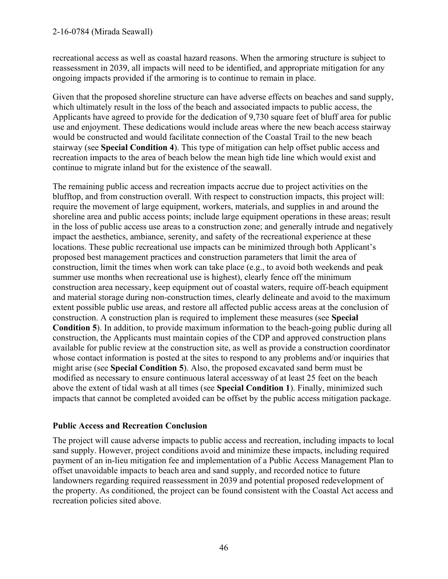recreational access as well as coastal hazard reasons. When the armoring structure is subject to reassessment in 2039, all impacts will need to be identified, and appropriate mitigation for any ongoing impacts provided if the armoring is to continue to remain in place.

Given that the proposed shoreline structure can have adverse effects on beaches and sand supply, which ultimately result in the loss of the beach and associated impacts to public access, the Applicants have agreed to provide for the dedication of 9,730 square feet of bluff area for public use and enjoyment. These dedications would include areas where the new beach access stairway would be constructed and would facilitate connection of the Coastal Trail to the new beach stairway (see **Special Condition 4**). This type of mitigation can help offset public access and recreation impacts to the area of beach below the mean high tide line which would exist and continue to migrate inland but for the existence of the seawall.

The remaining public access and recreation impacts accrue due to project activities on the blufftop, and from construction overall. With respect to construction impacts, this project will: require the movement of large equipment, workers, materials, and supplies in and around the shoreline area and public access points; include large equipment operations in these areas; result in the loss of public access use areas to a construction zone; and generally intrude and negatively impact the aesthetics, ambiance, serenity, and safety of the recreational experience at these locations. These public recreational use impacts can be minimized through both Applicant's proposed best management practices and construction parameters that limit the area of construction, limit the times when work can take place (e.g., to avoid both weekends and peak summer use months when recreational use is highest), clearly fence off the minimum construction area necessary, keep equipment out of coastal waters, require off-beach equipment and material storage during non-construction times, clearly delineate and avoid to the maximum extent possible public use areas, and restore all affected public access areas at the conclusion of construction. A construction plan is required to implement these measures (see **Special Condition 5**). In addition, to provide maximum information to the beach-going public during all construction, the Applicants must maintain copies of the CDP and approved construction plans available for public review at the construction site, as well as provide a construction coordinator whose contact information is posted at the sites to respond to any problems and/or inquiries that might arise (see **Special Condition 5**). Also, the proposed excavated sand berm must be modified as necessary to ensure continuous lateral accessway of at least 25 feet on the beach above the extent of tidal wash at all times (see **Special Condition 1**). Finally, minimized such impacts that cannot be completed avoided can be offset by the public access mitigation package.

### **Public Access and Recreation Conclusion**

The project will cause adverse impacts to public access and recreation, including impacts to local sand supply. However, project conditions avoid and minimize these impacts, including required payment of an in-lieu mitigation fee and implementation of a Public Access Management Plan to offset unavoidable impacts to beach area and sand supply, and recorded notice to future landowners regarding required reassessment in 2039 and potential proposed redevelopment of the property. As conditioned, the project can be found consistent with the Coastal Act access and recreation policies sited above.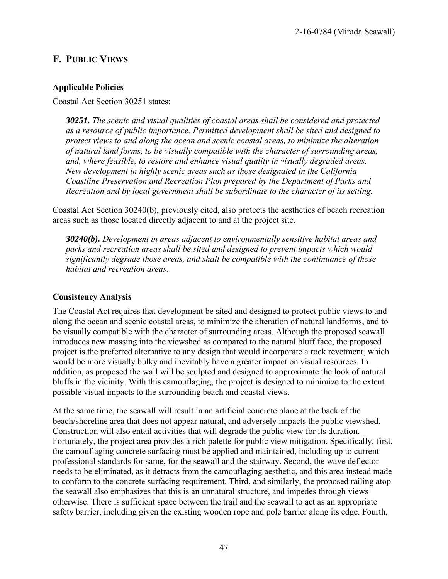# **F. PUBLIC VIEWS**

### **Applicable Policies**

Coastal Act Section 30251 states:

*30251. The scenic and visual qualities of coastal areas shall be considered and protected as a resource of public importance. Permitted development shall be sited and designed to protect views to and along the ocean and scenic coastal areas, to minimize the alteration of natural land forms, to be visually compatible with the character of surrounding areas, and, where feasible, to restore and enhance visual quality in visually degraded areas. New development in highly scenic areas such as those designated in the California Coastline Preservation and Recreation Plan prepared by the Department of Parks and Recreation and by local government shall be subordinate to the character of its setting.*

Coastal Act Section 30240(b), previously cited, also protects the aesthetics of beach recreation areas such as those located directly adjacent to and at the project site.

*30240(b). Development in areas adjacent to environmentally sensitive habitat areas and parks and recreation areas shall be sited and designed to prevent impacts which would significantly degrade those areas, and shall be compatible with the continuance of those habitat and recreation areas.* 

#### **Consistency Analysis**

The Coastal Act requires that development be sited and designed to protect public views to and along the ocean and scenic coastal areas, to minimize the alteration of natural landforms, and to be visually compatible with the character of surrounding areas. Although the proposed seawall introduces new massing into the viewshed as compared to the natural bluff face, the proposed project is the preferred alternative to any design that would incorporate a rock revetment, which would be more visually bulky and inevitably have a greater impact on visual resources. In addition, as proposed the wall will be sculpted and designed to approximate the look of natural bluffs in the vicinity. With this camouflaging, the project is designed to minimize to the extent possible visual impacts to the surrounding beach and coastal views.

At the same time, the seawall will result in an artificial concrete plane at the back of the beach/shoreline area that does not appear natural, and adversely impacts the public viewshed. Construction will also entail activities that will degrade the public view for its duration. Fortunately, the project area provides a rich palette for public view mitigation. Specifically, first, the camouflaging concrete surfacing must be applied and maintained, including up to current professional standards for same, for the seawall and the stairway. Second, the wave deflector needs to be eliminated, as it detracts from the camouflaging aesthetic, and this area instead made to conform to the concrete surfacing requirement. Third, and similarly, the proposed railing atop the seawall also emphasizes that this is an unnatural structure, and impedes through views otherwise. There is sufficient space between the trail and the seawall to act as an appropriate safety barrier, including given the existing wooden rope and pole barrier along its edge. Fourth,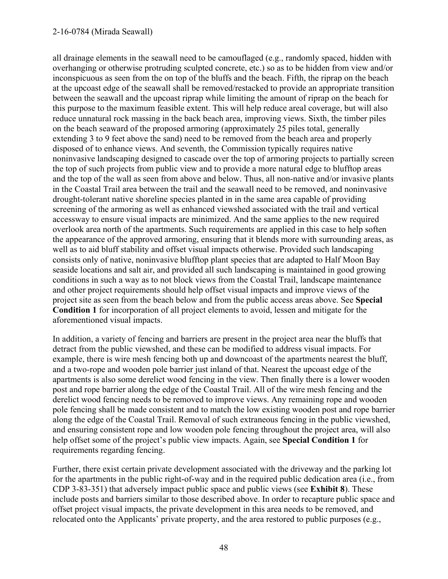#### 2-16-0784 (Mirada Seawall)

all drainage elements in the seawall need to be camouflaged (e.g., randomly spaced, hidden with overhanging or otherwise protruding sculpted concrete, etc.) so as to be hidden from view and/or inconspicuous as seen from the on top of the bluffs and the beach. Fifth, the riprap on the beach at the upcoast edge of the seawall shall be removed/restacked to provide an appropriate transition between the seawall and the upcoast riprap while limiting the amount of riprap on the beach for this purpose to the maximum feasible extent. This will help reduce areal coverage, but will also reduce unnatural rock massing in the back beach area, improving views. Sixth, the timber piles on the beach seaward of the proposed armoring (approximately 25 piles total, generally extending 3 to 9 feet above the sand) need to be removed from the beach area and properly disposed of to enhance views. And seventh, the Commission typically requires native noninvasive landscaping designed to cascade over the top of armoring projects to partially screen the top of such projects from public view and to provide a more natural edge to blufftop areas and the top of the wall as seen from above and below. Thus, all non-native and/or invasive plants in the Coastal Trail area between the trail and the seawall need to be removed, and noninvasive drought-tolerant native shoreline species planted in in the same area capable of providing screening of the armoring as well as enhanced viewshed associated with the trail and vertical accessway to ensure visual impacts are minimized. And the same applies to the new required overlook area north of the apartments. Such requirements are applied in this case to help soften the appearance of the approved armoring, ensuring that it blends more with surrounding areas, as well as to aid bluff stability and offset visual impacts otherwise. Provided such landscaping consists only of native, noninvasive blufftop plant species that are adapted to Half Moon Bay seaside locations and salt air, and provided all such landscaping is maintained in good growing conditions in such a way as to not block views from the Coastal Trail, landscape maintenance and other project requirements should help offset visual impacts and improve views of the project site as seen from the beach below and from the public access areas above. See **Special Condition 1** for incorporation of all project elements to avoid, lessen and mitigate for the aforementioned visual impacts.

In addition, a variety of fencing and barriers are present in the project area near the bluffs that detract from the public viewshed, and these can be modified to address visual impacts. For example, there is wire mesh fencing both up and downcoast of the apartments nearest the bluff, and a two-rope and wooden pole barrier just inland of that. Nearest the upcoast edge of the apartments is also some derelict wood fencing in the view. Then finally there is a lower wooden post and rope barrier along the edge of the Coastal Trail. All of the wire mesh fencing and the derelict wood fencing needs to be removed to improve views. Any remaining rope and wooden pole fencing shall be made consistent and to match the low existing wooden post and rope barrier along the edge of the Coastal Trail. Removal of such extraneous fencing in the public viewshed, and ensuring consistent rope and low wooden pole fencing throughout the project area, will also help offset some of the project's public view impacts. Again, see **Special Condition 1** for requirements regarding fencing.

Further, there exist certain private development associated with the driveway and the parking lot for the apartments in the public right-of-way and in the required public dedication area (i.e., from CDP 3-83-351) that adversely impact public space and public views (see **Exhibit 8**). These include posts and barriers similar to those described above. In order to recapture public space and offset project visual impacts, the private development in this area needs to be removed, and relocated onto the Applicants' private property, and the area restored to public purposes (e.g.,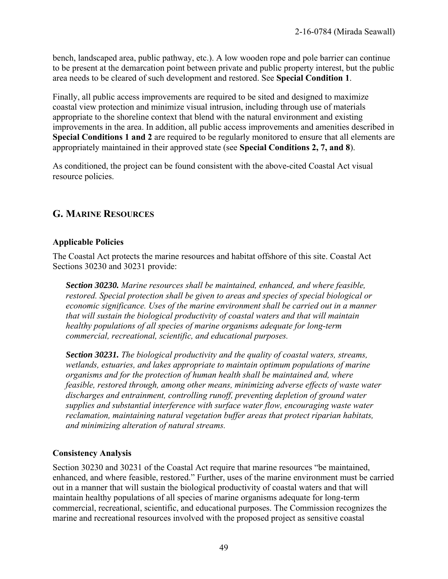bench, landscaped area, public pathway, etc.). A low wooden rope and pole barrier can continue to be present at the demarcation point between private and public property interest, but the public area needs to be cleared of such development and restored. See **Special Condition 1**.

Finally, all public access improvements are required to be sited and designed to maximize coastal view protection and minimize visual intrusion, including through use of materials appropriate to the shoreline context that blend with the natural environment and existing improvements in the area. In addition, all public access improvements and amenities described in **Special Conditions 1 and 2** are required to be regularly monitored to ensure that all elements are appropriately maintained in their approved state (see **Special Conditions 2, 7, and 8**).

As conditioned, the project can be found consistent with the above-cited Coastal Act visual resource policies.

# **G. MARINE RESOURCES**

### **Applicable Policies**

The Coastal Act protects the marine resources and habitat offshore of this site. Coastal Act Sections 30230 and 30231 provide:

*Section 30230. Marine resources shall be maintained, enhanced, and where feasible, restored. Special protection shall be given to areas and species of special biological or economic significance. Uses of the marine environment shall be carried out in a manner that will sustain the biological productivity of coastal waters and that will maintain healthy populations of all species of marine organisms adequate for long-term commercial, recreational, scientific, and educational purposes.* 

*Section 30231. The biological productivity and the quality of coastal waters, streams, wetlands, estuaries, and lakes appropriate to maintain optimum populations of marine organisms and for the protection of human health shall be maintained and, where feasible, restored through, among other means, minimizing adverse effects of waste water discharges and entrainment, controlling runoff, preventing depletion of ground water supplies and substantial interference with surface water flow, encouraging waste water reclamation, maintaining natural vegetation buffer areas that protect riparian habitats, and minimizing alteration of natural streams.* 

#### **Consistency Analysis**

Section 30230 and 30231 of the Coastal Act require that marine resources "be maintained, enhanced, and where feasible, restored." Further, uses of the marine environment must be carried out in a manner that will sustain the biological productivity of coastal waters and that will maintain healthy populations of all species of marine organisms adequate for long-term commercial, recreational, scientific, and educational purposes. The Commission recognizes the marine and recreational resources involved with the proposed project as sensitive coastal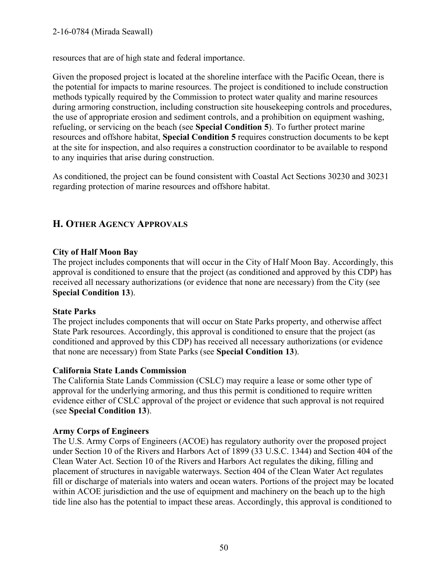resources that are of high state and federal importance.

Given the proposed project is located at the shoreline interface with the Pacific Ocean, there is the potential for impacts to marine resources. The project is conditioned to include construction methods typically required by the Commission to protect water quality and marine resources during armoring construction, including construction site housekeeping controls and procedures, the use of appropriate erosion and sediment controls, and a prohibition on equipment washing, refueling, or servicing on the beach (see **Special Condition 5**). To further protect marine resources and offshore habitat, **Special Condition 5** requires construction documents to be kept at the site for inspection, and also requires a construction coordinator to be available to respond to any inquiries that arise during construction.

As conditioned, the project can be found consistent with Coastal Act Sections 30230 and 30231 regarding protection of marine resources and offshore habitat.

# **H. OTHER AGENCY APPROVALS**

### **City of Half Moon Bay**

The project includes components that will occur in the City of Half Moon Bay. Accordingly, this approval is conditioned to ensure that the project (as conditioned and approved by this CDP) has received all necessary authorizations (or evidence that none are necessary) from the City (see **Special Condition 13**).

#### **State Parks**

The project includes components that will occur on State Parks property, and otherwise affect State Park resources. Accordingly, this approval is conditioned to ensure that the project (as conditioned and approved by this CDP) has received all necessary authorizations (or evidence that none are necessary) from State Parks (see **Special Condition 13**).

#### **California State Lands Commission**

The California State Lands Commission (CSLC) may require a lease or some other type of approval for the underlying armoring, and thus this permit is conditioned to require written evidence either of CSLC approval of the project or evidence that such approval is not required (see **Special Condition 13**).

### **Army Corps of Engineers**

The U.S. Army Corps of Engineers (ACOE) has regulatory authority over the proposed project under Section 10 of the Rivers and Harbors Act of 1899 (33 U.S.C. 1344) and Section 404 of the Clean Water Act. Section 10 of the Rivers and Harbors Act regulates the diking, filling and placement of structures in navigable waterways. Section 404 of the Clean Water Act regulates fill or discharge of materials into waters and ocean waters. Portions of the project may be located within ACOE jurisdiction and the use of equipment and machinery on the beach up to the high tide line also has the potential to impact these areas. Accordingly, this approval is conditioned to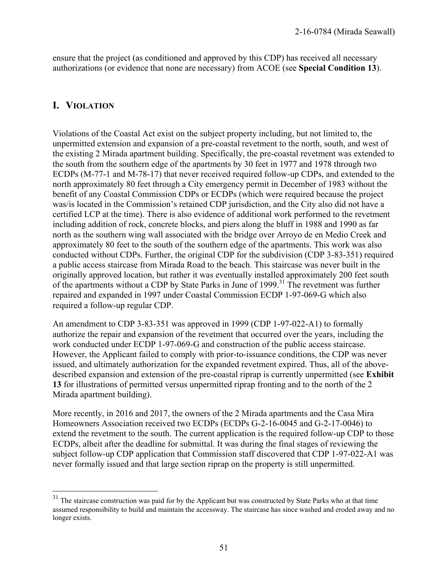ensure that the project (as conditioned and approved by this CDP) has received all necessary authorizations (or evidence that none are necessary) from ACOE (see **Special Condition 13**).

# **I. VIOLATION**

 $\overline{a}$ 

Violations of the Coastal Act exist on the subject property including, but not limited to, the unpermitted extension and expansion of a pre-coastal revetment to the north, south, and west of the existing 2 Mirada apartment building. Specifically, the pre-coastal revetment was extended to the south from the southern edge of the apartments by 30 feet in 1977 and 1978 through two ECDPs (M-77-1 and M-78-17) that never received required follow-up CDPs, and extended to the north approximately 80 feet through a City emergency permit in December of 1983 without the benefit of any Coastal Commission CDPs or ECDPs (which were required because the project was/is located in the Commission's retained CDP jurisdiction, and the City also did not have a certified LCP at the time). There is also evidence of additional work performed to the revetment including addition of rock, concrete blocks, and piers along the bluff in 1988 and 1990 as far north as the southern wing wall associated with the bridge over Arroyo de en Medio Creek and approximately 80 feet to the south of the southern edge of the apartments. This work was also conducted without CDPs. Further, the original CDP for the subdivision (CDP 3-83-351) required a public access staircase from Mirada Road to the beach. This staircase was never built in the originally approved location, but rather it was eventually installed approximately 200 feet south of the apartments without a CDP by State Parks in June of  $1999$ .<sup>31</sup> The revetment was further repaired and expanded in 1997 under Coastal Commission ECDP 1-97-069-G which also required a follow-up regular CDP.

An amendment to CDP 3-83-351 was approved in 1999 (CDP 1-97-022-A1) to formally authorize the repair and expansion of the revetment that occurred over the years, including the work conducted under ECDP 1-97-069-G and construction of the public access staircase. However, the Applicant failed to comply with prior-to-issuance conditions, the CDP was never issued, and ultimately authorization for the expanded revetment expired. Thus, all of the abovedescribed expansion and extension of the pre-coastal riprap is currently unpermitted (see **Exhibit 13** for illustrations of permitted versus unpermitted riprap fronting and to the north of the 2 Mirada apartment building).

More recently, in 2016 and 2017, the owners of the 2 Mirada apartments and the Casa Mira Homeowners Association received two ECDPs (ECDPs G-2-16-0045 and G-2-17-0046) to extend the revetment to the south. The current application is the required follow-up CDP to those ECDPs, albeit after the deadline for submittal. It was during the final stages of reviewing the subject follow-up CDP application that Commission staff discovered that CDP 1-97-022-A1 was never formally issued and that large section riprap on the property is still unpermitted.

 $31$  The staircase construction was paid for by the Applicant but was constructed by State Parks who at that time assumed responsibility to build and maintain the accessway. The staircase has since washed and eroded away and no longer exists.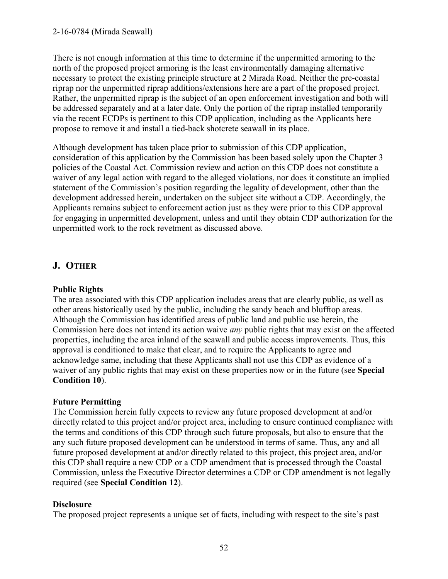There is not enough information at this time to determine if the unpermitted armoring to the north of the proposed project armoring is the least environmentally damaging alternative necessary to protect the existing principle structure at 2 Mirada Road. Neither the pre-coastal riprap nor the unpermitted riprap additions/extensions here are a part of the proposed project. Rather, the unpermitted riprap is the subject of an open enforcement investigation and both will be addressed separately and at a later date. Only the portion of the riprap installed temporarily via the recent ECDPs is pertinent to this CDP application, including as the Applicants here propose to remove it and install a tied-back shotcrete seawall in its place.

Although development has taken place prior to submission of this CDP application, consideration of this application by the Commission has been based solely upon the Chapter 3 policies of the Coastal Act. Commission review and action on this CDP does not constitute a waiver of any legal action with regard to the alleged violations, nor does it constitute an implied statement of the Commission's position regarding the legality of development, other than the development addressed herein, undertaken on the subject site without a CDP. Accordingly, the Applicants remains subject to enforcement action just as they were prior to this CDP approval for engaging in unpermitted development, unless and until they obtain CDP authorization for the unpermitted work to the rock revetment as discussed above.

# **J. OTHER**

### **Public Rights**

The area associated with this CDP application includes areas that are clearly public, as well as other areas historically used by the public, including the sandy beach and blufftop areas. Although the Commission has identified areas of public land and public use herein, the Commission here does not intend its action waive *any* public rights that may exist on the affected properties, including the area inland of the seawall and public access improvements. Thus, this approval is conditioned to make that clear, and to require the Applicants to agree and acknowledge same, including that these Applicants shall not use this CDP as evidence of a waiver of any public rights that may exist on these properties now or in the future (see **Special Condition 10**).

### **Future Permitting**

The Commission herein fully expects to review any future proposed development at and/or directly related to this project and/or project area, including to ensure continued compliance with the terms and conditions of this CDP through such future proposals, but also to ensure that the any such future proposed development can be understood in terms of same. Thus, any and all future proposed development at and/or directly related to this project, this project area, and/or this CDP shall require a new CDP or a CDP amendment that is processed through the Coastal Commission, unless the Executive Director determines a CDP or CDP amendment is not legally required (see **Special Condition 12**).

### **Disclosure**

The proposed project represents a unique set of facts, including with respect to the site's past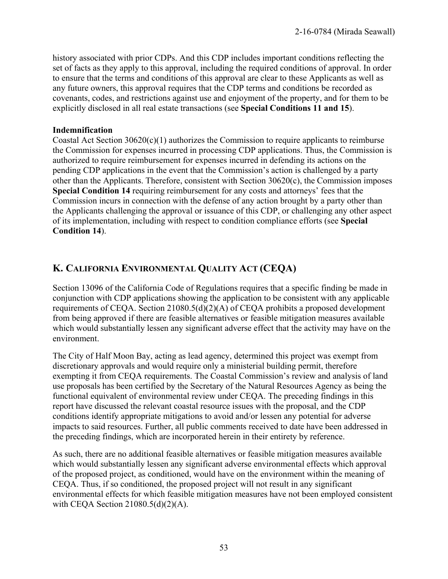history associated with prior CDPs. And this CDP includes important conditions reflecting the set of facts as they apply to this approval, including the required conditions of approval. In order to ensure that the terms and conditions of this approval are clear to these Applicants as well as any future owners, this approval requires that the CDP terms and conditions be recorded as covenants, codes, and restrictions against use and enjoyment of the property, and for them to be explicitly disclosed in all real estate transactions (see **Special Conditions 11 and 15**).

#### **Indemnification**

Coastal Act Section  $30620(c)(1)$  authorizes the Commission to require applicants to reimburse the Commission for expenses incurred in processing CDP applications. Thus, the Commission is authorized to require reimbursement for expenses incurred in defending its actions on the pending CDP applications in the event that the Commission's action is challenged by a party other than the Applicants. Therefore, consistent with Section 30620(c), the Commission imposes **Special Condition 14** requiring reimbursement for any costs and attorneys' fees that the Commission incurs in connection with the defense of any action brought by a party other than the Applicants challenging the approval or issuance of this CDP, or challenging any other aspect of its implementation, including with respect to condition compliance efforts (see **Special Condition 14**).

# **K. CALIFORNIA ENVIRONMENTAL QUALITY ACT (CEQA)**

Section 13096 of the California Code of Regulations requires that a specific finding be made in conjunction with CDP applications showing the application to be consistent with any applicable requirements of CEQA. Section 21080.5(d)(2)(A) of CEQA prohibits a proposed development from being approved if there are feasible alternatives or feasible mitigation measures available which would substantially lessen any significant adverse effect that the activity may have on the environment.

The City of Half Moon Bay, acting as lead agency, determined this project was exempt from discretionary approvals and would require only a ministerial building permit, therefore exempting it from CEQA requirements. The Coastal Commission's review and analysis of land use proposals has been certified by the Secretary of the Natural Resources Agency as being the functional equivalent of environmental review under CEQA. The preceding findings in this report have discussed the relevant coastal resource issues with the proposal, and the CDP conditions identify appropriate mitigations to avoid and/or lessen any potential for adverse impacts to said resources. Further, all public comments received to date have been addressed in the preceding findings, which are incorporated herein in their entirety by reference.

As such, there are no additional feasible alternatives or feasible mitigation measures available which would substantially lessen any significant adverse environmental effects which approval of the proposed project, as conditioned, would have on the environment within the meaning of CEQA. Thus, if so conditioned, the proposed project will not result in any significant environmental effects for which feasible mitigation measures have not been employed consistent with CEQA Section 21080.5(d)(2)(A).